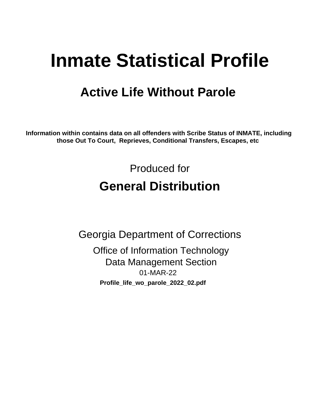# **Inmate Statistical Profile**

## **Active Life Without Parole**

Information within contains data on all offenders with Scribe Status of INMATE, including those Out To Court, Reprieves, Conditional Transfers, Escapes, etc

> Produced for **General Distribution**

**Georgia Department of Corrections Office of Information Technology Data Management Section** 01-MAR-22 Profile\_life\_wo\_parole\_2022\_02.pdf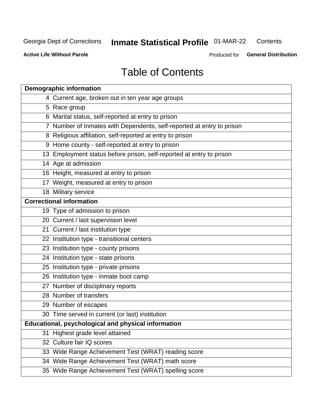#### **Inmate Statistical Profile 01-MAR-22** Contents

**Active Life Without Parole** 

Produced for General Distribution

## **Table of Contents**

|    | <b>Demographic information</b>                                        |
|----|-----------------------------------------------------------------------|
|    | 4 Current age, broken out in ten year age groups                      |
|    | 5 Race group                                                          |
|    | 6 Marital status, self-reported at entry to prison                    |
|    | 7 Number of Inmates with Dependents, self-reported at entry to prison |
|    | 8 Religious affiliation, self-reported at entry to prison             |
|    | 9 Home county - self-reported at entry to prison                      |
|    | 13 Employment status before prison, self-reported at entry to prison  |
|    | 14 Age at admission                                                   |
|    | 16 Height, measured at entry to prison                                |
|    | 17 Weight, measured at entry to prison                                |
|    | 18 Military service                                                   |
|    | <b>Correctional information</b>                                       |
|    | 19 Type of admission to prison                                        |
|    | 20 Current / last supervision level                                   |
|    | 21 Current / last institution type                                    |
|    | 22 Institution type - transitional centers                            |
|    | 23 Institution type - county prisons                                  |
|    | 24 Institution type - state prisons                                   |
|    | 25 Institution type - private prisons                                 |
|    | 26 Institution type - inmate boot camp                                |
|    | 27 Number of disciplinary reports                                     |
|    | 28 Number of transfers                                                |
|    | 29 Number of escapes                                                  |
|    | 30 Time served in current (or last) institution                       |
|    | Educational, psychological and physical information                   |
| 31 | Highest grade level attained                                          |
|    | 32 Culture fair IQ scores                                             |
|    | 33 Wide Range Achievement Test (WRAT) reading score                   |
|    | 34 Wide Range Achievement Test (WRAT) math score                      |
|    | 35 Wide Range Achievement Test (WRAT) spelling score                  |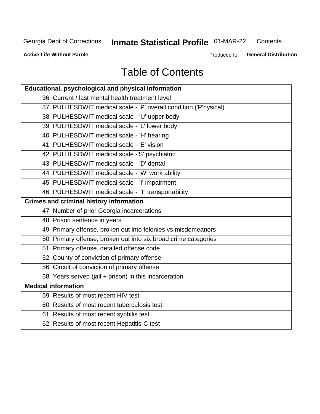## **Inmate Statistical Profile 01-MAR-22**

Contents

**Active Life Without Parole** 

Produced for General Distribution

## **Table of Contents**

| Educational, psychological and physical information              |
|------------------------------------------------------------------|
| 36 Current / last mental health treatment level                  |
| 37 PULHESDWIT medical scale - 'P' overall condition ('P'hysical) |
| 38 PULHESDWIT medical scale - 'U' upper body                     |
| 39 PULHESDWIT medical scale - 'L' lower body                     |
| 40 PULHESDWIT medical scale - 'H' hearing                        |
| 41 PULHESDWIT medical scale - 'E' vision                         |
| 42 PULHESDWIT medical scale -'S' psychiatric                     |
| 43 PULHESDWIT medical scale - 'D' dental                         |
| 44 PULHESDWIT medical scale - 'W' work ability                   |
| 45 PULHESDWIT medical scale - 'I' impairment                     |
| 46 PULHESDWIT medical scale - 'T' transportability               |
| <b>Crimes and criminal history information</b>                   |
| 47 Number of prior Georgia incarcerations                        |
| 48 Prison sentence in years                                      |
| 49 Primary offense, broken out into felonies vs misdemeanors     |
| 50 Primary offense, broken out into six broad crime categories   |
| 51 Primary offense, detailed offense code                        |
| 52 County of conviction of primary offense                       |
| 56 Circuit of conviction of primary offense                      |
| 58 Years served (jail + prison) in this incarceration            |
| <b>Medical information</b>                                       |
| 59 Results of most recent HIV test                               |
| 60 Results of most recent tuberculosis test                      |
| 61 Results of most recent syphilis test                          |
| 62 Results of most recent Hepatitis-C test                       |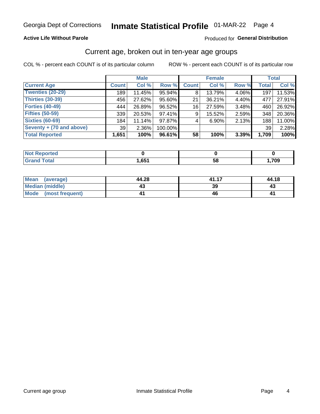### **Active Life Without Parole**

#### Produced for General Distribution

### Current age, broken out in ten-year age groups

COL % - percent each COUNT is of its particular column

|                          | <b>Male</b>     |          |         | <b>Female</b> |        |       | <b>Total</b> |        |
|--------------------------|-----------------|----------|---------|---------------|--------|-------|--------------|--------|
| <b>Current Age</b>       | <b>Count</b>    | Col %    | Row %   | <b>Count</b>  | Col %  | Row % | <b>Total</b> | Col %  |
| <b>Twenties (20-29)</b>  | 189             | 11.45%   | 95.94%  | 8             | 13.79% | 4.06% | 197          | 11.53% |
| Thirties (30-39)         | 456             | 27.62%   | 95.60%  | 21            | 36.21% | 4.40% | 477          | 27.91% |
| <b>Forties (40-49)</b>   | 444             | 26.89%   | 96.52%  | 16            | 27.59% | 3.48% | 460          | 26.92% |
| <b>Fifties (50-59)</b>   | 339             | 20.53%   | 97.41%  | 9             | 15.52% | 2.59% | 348          | 20.36% |
| <b>Sixties (60-69)</b>   | 184             | 11.14%   | 97.87%  | 4             | 6.90%  | 2.13% | 188          | 11.00% |
| Seventy + (70 and above) | 39 <sup>1</sup> | $2.36\%$ | 100.00% |               |        |       | 39           | 2.28%  |
| <b>Total Reported</b>    | 1,651           | 100%     | 96.61%  | 58            | 100%   | 3.39% | 1,709        | 100%   |

| د د له د<br><b>eported</b> |     |    |      |
|----------------------------|-----|----|------|
| <b>otal</b>                | 651 | 58 | ,709 |

| <b>Mean</b><br>(average)       | 44.28 | 41.17 | 44.18 |
|--------------------------------|-------|-------|-------|
| Median (middle)                |       | 39    | ـة 4  |
| <b>Mode</b><br>(most frequent) |       |       | 4     |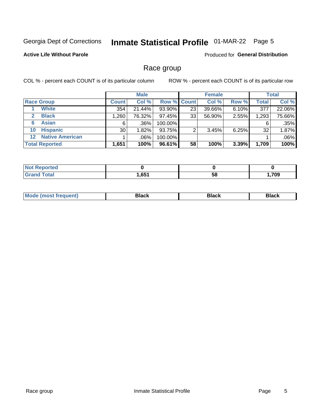## Inmate Statistical Profile 01-MAR-22 Page 5

### **Active Life Without Parole**

Produced for General Distribution

### Race group

COL % - percent each COUNT is of its particular column

|                       |                        |                 | <b>Male</b> |         |                    | <b>Female</b> |       |       | <b>Total</b> |  |
|-----------------------|------------------------|-----------------|-------------|---------|--------------------|---------------|-------|-------|--------------|--|
|                       | <b>Race Group</b>      | <b>Count</b>    | Col %       |         | <b>Row % Count</b> | Col %         | Row % | Total | Col %        |  |
|                       | <b>White</b>           | 354             | 21.44%      | 93.90%  | 23                 | 39.66%        | 6.10% | 377   | 22.06%       |  |
| 2                     | <b>Black</b>           | 1,260           | 76.32%      | 97.45%  | 33                 | 56.90%        | 2.55% | 1,293 | 75.66%       |  |
| 6                     | <b>Asian</b>           | 6               | $.36\%$     | 100.00% |                    |               |       | 6     | .35%         |  |
| 10                    | <b>Hispanic</b>        | 30 <sup>1</sup> | $1.82\%$    | 93.75%  | ◠                  | 3.45%         | 6.25% | 32    | 1.87%        |  |
| $12 \,$               | <b>Native American</b> |                 | .06%        | 100.00% |                    |               |       |       | $.06\%$      |  |
| <b>Total Reported</b> |                        | 1,651           | 100%        | 96.61%  | 58                 | 100%          | 3.39% | 1,709 | 100%         |  |

| <b>Enorted</b> |      |    |      |
|----------------|------|----|------|
| <b>Total</b>   | ,651 | 58 | ,709 |

| M | - - - |  |
|---|-------|--|
|   |       |  |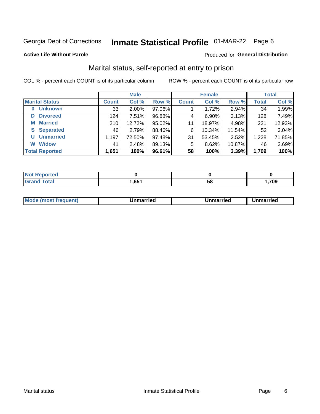## Inmate Statistical Profile 01-MAR-22 Page 6

**Active Life Without Parole** 

### Produced for General Distribution

### Marital status, self-reported at entry to prison

COL % - percent each COUNT is of its particular column

|                            | <b>Male</b>  |          |        |              | <b>Female</b> | <b>Total</b> |              |        |
|----------------------------|--------------|----------|--------|--------------|---------------|--------------|--------------|--------|
| <b>Marital Status</b>      | <b>Count</b> | Col %    | Row %  | <b>Count</b> | Col %         | Row %        | <b>Total</b> | Col %  |
| <b>Unknown</b><br>$\bf{0}$ | 33           | $2.00\%$ | 97.06% |              | 1.72%         | 2.94%        | 34           | 1.99%  |
| <b>Divorced</b><br>D       | 124          | 7.51%    | 96.88% | 4            | $6.90\%$      | 3.13%        | 128          | 7.49%  |
| <b>Married</b><br>М        | 210          | 12.72%   | 95.02% | 11           | 18.97%        | 4.98%        | 221          | 12.93% |
| <b>Separated</b><br>S.     | 46           | 2.79%    | 88.46% | 6            | 10.34%        | 11.54%       | 52           | 3.04%  |
| <b>Unmarried</b><br>U      | 1,197        | 72.50%   | 97.48% | 31           | 53.45%        | 2.52%        | 1,228        | 71.85% |
| <b>Widow</b><br>W          | 41           | 2.48%    | 89.13% | 5            | 8.62%         | 10.87%       | 46           | 2.69%  |
| <b>Total Reported</b>      | 1,651        | 100%     | 96.61% | 58           | 100%          | 3.39%        | 1,709        | 100%   |

| <b>prted</b><br>NOT |              |    |      |
|---------------------|--------------|----|------|
| <b>Total</b>        | 651<br>ו טט, | ວດ | ,709 |

|--|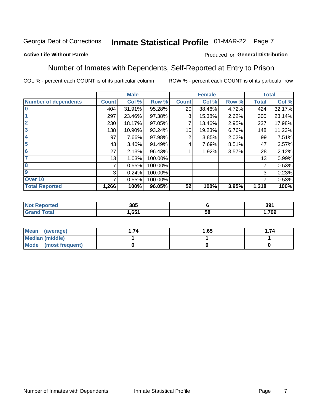## Inmate Statistical Profile 01-MAR-22 Page 7

### **Active Life Without Parole**

### Produced for General Distribution

### Number of Inmates with Dependents, Self-Reported at Entry to Prison

COL % - percent each COUNT is of its particular column

|                             |              | <b>Male</b> |         |              | <b>Female</b> |       |              | <b>Total</b> |
|-----------------------------|--------------|-------------|---------|--------------|---------------|-------|--------------|--------------|
| <b>Number of dependents</b> | <b>Count</b> | Col %       | Row %   | <b>Count</b> | Col %         | Row % | <b>Total</b> | Col %        |
| $\bf{0}$                    | 404          | 31.91%      | 95.28%  | 20           | 38.46%        | 4.72% | 424          | 32.17%       |
|                             | 297          | 23.46%      | 97.38%  | 8            | 15.38%        | 2.62% | 305          | 23.14%       |
| $\overline{2}$              | 230          | 18.17%      | 97.05%  |              | 13.46%        | 2.95% | 237          | 17.98%       |
| 3                           | 138          | 10.90%      | 93.24%  | 10           | 19.23%        | 6.76% | 148          | 11.23%       |
| 4                           | 97           | 7.66%       | 97.98%  | 2            | 3.85%         | 2.02% | 99           | 7.51%        |
| 5                           | 43           | 3.40%       | 91.49%  | 4            | 7.69%         | 8.51% | 47           | 3.57%        |
| $6\phantom{1}6$             | 27           | 2.13%       | 96.43%  |              | 1.92%         | 3.57% | 28           | 2.12%        |
| 7                           | 13           | 1.03%       | 100.00% |              |               |       | 13           | 0.99%        |
| 8                           | 7            | 0.55%       | 100.00% |              |               |       | 7            | 0.53%        |
| $\boldsymbol{9}$            | 3            | 0.24%       | 100.00% |              |               |       | 3            | 0.23%        |
| Over 10                     | 7            | 0.55%       | 100.00% |              |               |       | 7            | 0.53%        |
| <b>Total Reported</b>       | 1,266        | 100%        | 96.05%  | 52           | 100%          | 3.95% | 1,318        | 100%         |

| 385        |          | 391  |
|------------|----------|------|
| CE4<br>.טט | EС<br>ວເ | ,709 |

| <b>Mean</b><br>(average) | 1.65 | .74 |
|--------------------------|------|-----|
| Median (middle)          |      |     |
| Mode (most frequent)     |      |     |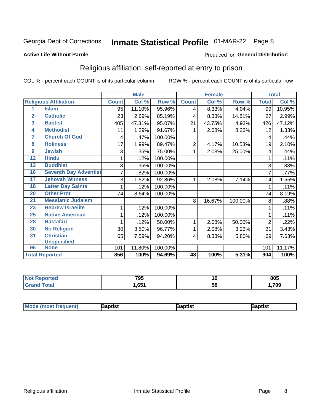## Inmate Statistical Profile 01-MAR-22 Page 8

#### **Active Life Without Parole**

#### Produced for General Distribution

### Religious affiliation, self-reported at entry to prison

COL % - percent each COUNT is of its particular column

|                 |                              |              | <b>Male</b> |         |              | <b>Female</b>             |         |              | <b>Total</b> |
|-----------------|------------------------------|--------------|-------------|---------|--------------|---------------------------|---------|--------------|--------------|
|                 | <b>Religious Affiliation</b> | <b>Count</b> | Col %       | Row %   | <b>Count</b> | $\overline{\text{Col}}$ % | Row %   | <b>Total</b> | Col %        |
| 1               | <b>Islam</b>                 | 95           | 11.10%      | 95.96%  | 4            | 8.33%                     | 4.04%   | 99           | 10.95%       |
| $\overline{2}$  | <b>Catholic</b>              | 23           | 2.69%       | 85.19%  | 4            | 8.33%                     | 14.81%  | 27           | 2.99%        |
| 3               | <b>Baptist</b>               | 405          | 47.31%      | 95.07%  | 21           | 43.75%                    | 4.93%   | 426          | 47.12%       |
| 4               | <b>Methodist</b>             | 11           | 1.29%       | 91.67%  |              | 2.08%                     | 8.33%   | 12           | 1.33%        |
| 7               | <b>Church Of God</b>         | 4            | .47%        | 100.00% |              |                           |         | 4            | .44%         |
| 8               | <b>Holiness</b>              | 17           | 1.99%       | 89.47%  | 2            | 4.17%                     | 10.53%  | 19           | 2.10%        |
| 9               | <b>Jewish</b>                | 3            | .35%        | 75.00%  | 1            | 2.08%                     | 25.00%  | 4            | .44%         |
| $\overline{12}$ | <b>Hindu</b>                 |              | .12%        | 100.00% |              |                           |         |              | .11%         |
| 13              | <b>Buddhist</b>              | 3            | .35%        | 100.00% |              |                           |         | 3            | .33%         |
| 16              | <b>Seventh Day Adventist</b> | 7            | .82%        | 100.00% |              |                           |         | 7            | .77%         |
| 17              | <b>Jehovah Witness</b>       | 13           | 1.52%       | 92.86%  | 1            | 2.08%                     | 7.14%   | 14           | 1.55%        |
| 18              | <b>Latter Day Saints</b>     | 1            | .12%        | 100.00% |              |                           |         | 1            | .11%         |
| 20              | <b>Other Prot</b>            | 74           | 8.64%       | 100.00% |              |                           |         | 74           | 8.19%        |
| 21              | <b>Messianic Judaism</b>     |              |             |         | 8            | 16.67%                    | 100.00% | 8            | .88%         |
| 23              | <b>Hebrew Israelite</b>      | 1            | .12%        | 100.00% |              |                           |         |              | .11%         |
| 25              | <b>Native American</b>       |              | .12%        | 100.00% |              |                           |         |              | .11%         |
| 28              | <b>Rastafari</b>             |              | .12%        | 50.00%  | 1            | 2.08%                     | 50.00%  | 2            | .22%         |
| 30              | <b>No Religion</b>           | 30           | 3.50%       | 96.77%  | 1            | 2.08%                     | 3.23%   | 31           | 3.43%        |
| 31              | Christian -                  | 65           | 7.59%       | 94.20%  | 4            | 8.33%                     | 5.80%   | 69           | 7.63%        |
|                 | <b>Unspecified</b>           |              |             |         |              |                           |         |              |              |
| 96              | <b>None</b>                  | 101          | 11.80%      | 100.00% |              |                           |         | 101          | 11.17%       |
|                 | <b>Total Reported</b>        | 856          | 100%        | 94.69%  | 48           | 100%                      | 5.31%   | 904          | 100%         |

| τeα | 795              | 1Ο | 805 |
|-----|------------------|----|-----|
|     | .65 <sup>1</sup> | ວເ | 709 |

| <b>Mode (most frequent)</b> | aptist | Baptist | Baptist |
|-----------------------------|--------|---------|---------|
|-----------------------------|--------|---------|---------|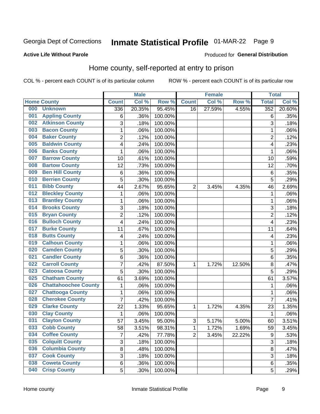## Inmate Statistical Profile 01-MAR-22 Page 9

#### **Active Life Without Parole**

#### Produced for General Distribution

### Home county, self-reported at entry to prison

COL % - percent each COUNT is of its particular column

|     |                             |                | <b>Male</b> |         |                | <b>Female</b> |        | <b>Total</b>   |        |
|-----|-----------------------------|----------------|-------------|---------|----------------|---------------|--------|----------------|--------|
|     | <b>Home County</b>          | <b>Count</b>   | Col %       | Row %   | <b>Count</b>   | Col %         | Row %  | <b>Total</b>   | Col %  |
| 000 | <b>Unknown</b>              | 336            | 20.35%      | 95.45%  | 16             | 27.59%        | 4.55%  | 352            | 20.60% |
| 001 | <b>Appling County</b>       | 6              | .36%        | 100.00% |                |               |        | 6              | .35%   |
| 002 | <b>Atkinson County</b>      | 3              | .18%        | 100.00% |                |               |        | 3              | .18%   |
| 003 | <b>Bacon County</b>         | 1              | .06%        | 100.00% |                |               |        | 1              | .06%   |
| 004 | <b>Baker County</b>         | $\overline{2}$ | .12%        | 100.00% |                |               |        | $\overline{2}$ | .12%   |
| 005 | <b>Baldwin County</b>       | 4              | .24%        | 100.00% |                |               |        | 4              | .23%   |
| 006 | <b>Banks County</b>         | 1              | .06%        | 100.00% |                |               |        | 1              | .06%   |
| 007 | <b>Barrow County</b>        | 10             | .61%        | 100.00% |                |               |        | 10             | .59%   |
| 008 | <b>Bartow County</b>        | 12             | .73%        | 100.00% |                |               |        | 12             | .70%   |
| 009 | <b>Ben Hill County</b>      | 6              | .36%        | 100.00% |                |               |        | 6              | .35%   |
| 010 | <b>Berrien County</b>       | 5              | .30%        | 100.00% |                |               |        | 5              | .29%   |
| 011 | <b>Bibb County</b>          | 44             | 2.67%       | 95.65%  | $\overline{2}$ | 3.45%         | 4.35%  | 46             | 2.69%  |
| 012 | <b>Bleckley County</b>      | 1              | .06%        | 100.00% |                |               |        | 1              | .06%   |
| 013 | <b>Brantley County</b>      | 1              | .06%        | 100.00% |                |               |        | $\mathbf{1}$   | .06%   |
| 014 | <b>Brooks County</b>        | 3              | .18%        | 100.00% |                |               |        | 3              | .18%   |
| 015 | <b>Bryan County</b>         | 2              | .12%        | 100.00% |                |               |        | $\overline{2}$ | .12%   |
| 016 | <b>Bulloch County</b>       | 4              | .24%        | 100.00% |                |               |        | 4              | .23%   |
| 017 | <b>Burke County</b>         | 11             | .67%        | 100.00% |                |               |        | 11             | .64%   |
| 018 | <b>Butts County</b>         | 4              | .24%        | 100.00% |                |               |        | 4              | .23%   |
| 019 | <b>Calhoun County</b>       | 1              | .06%        | 100.00% |                |               |        | 1              | .06%   |
| 020 | <b>Camden County</b>        | 5              | .30%        | 100.00% |                |               |        | 5              | .29%   |
| 021 | <b>Candler County</b>       | 6              | .36%        | 100.00% |                |               |        | 6              | .35%   |
| 022 | <b>Carroll County</b>       | $\overline{7}$ | .42%        | 87.50%  | 1              | 1.72%         | 12.50% | 8              | .47%   |
| 023 | <b>Catoosa County</b>       | 5              | .30%        | 100.00% |                |               |        | 5              | .29%   |
| 025 | <b>Chatham County</b>       | 61             | 3.69%       | 100.00% |                |               |        | 61             | 3.57%  |
| 026 | <b>Chattahoochee County</b> | 1              | .06%        | 100.00% |                |               |        | 1              | .06%   |
| 027 | <b>Chattooga County</b>     | 1              | .06%        | 100.00% |                |               |        | 1              | .06%   |
| 028 | <b>Cherokee County</b>      | 7              | .42%        | 100.00% |                |               |        | $\overline{7}$ | .41%   |
| 029 | <b>Clarke County</b>        | 22             | 1.33%       | 95.65%  | 1              | 1.72%         | 4.35%  | 23             | 1.35%  |
| 030 | <b>Clay County</b>          | 1              | .06%        | 100.00% |                |               |        | 1              | .06%   |
| 031 | <b>Clayton County</b>       | 57             | 3.45%       | 95.00%  | 3              | 5.17%         | 5.00%  | 60             | 3.51%  |
| 033 | <b>Cobb County</b>          | 58             | 3.51%       | 98.31%  | 1              | 1.72%         | 1.69%  | 59             | 3.45%  |
| 034 | <b>Coffee County</b>        | 7              | .42%        | 77.78%  | $\overline{2}$ | 3.45%         | 22.22% | 9              | .53%   |
| 035 | <b>Colquitt County</b>      | 3              | .18%        | 100.00% |                |               |        | 3              | .18%   |
| 036 | <b>Columbia County</b>      | 8              | .48%        | 100.00% |                |               |        | 8              | .47%   |
| 037 | <b>Cook County</b>          | 3              | .18%        | 100.00% |                |               |        | 3              | .18%   |
| 038 | <b>Coweta County</b>        | 6              | .36%        | 100.00% |                |               |        | 6              | .35%   |
| 040 | <b>Crisp County</b>         | 5              | .30%        | 100.00% |                |               |        | 5              | .29%   |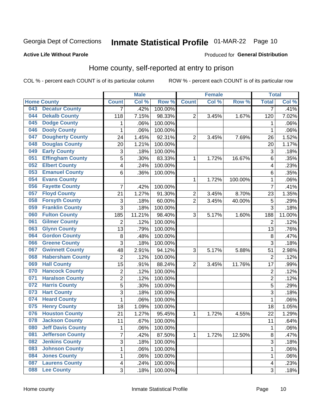## Inmate Statistical Profile 01-MAR-22 Page 10

Produced for General Distribution

#### **Active Life Without Parole**

### Home county, self-reported at entry to prison

COL % - percent each COUNT is of its particular column

|     |                          |                           | <b>Male</b> |                  |                  | <b>Female</b> |         | <b>Total</b>            |        |
|-----|--------------------------|---------------------------|-------------|------------------|------------------|---------------|---------|-------------------------|--------|
|     | <b>Home County</b>       | <b>Count</b>              | Col %       | Row <sup>%</sup> | <b>Count</b>     | Col %         | Row %   | <b>Total</b>            | Col %  |
| 043 | <b>Decatur County</b>    | 7                         | .42%        | 100.00%          |                  |               |         | 7                       | .41%   |
| 044 | <b>Dekalb County</b>     | 118                       | 7.15%       | 98.33%           | $\overline{2}$   | 3.45%         | 1.67%   | 120                     | 7.02%  |
| 045 | <b>Dodge County</b>      | 1                         | .06%        | 100.00%          |                  |               |         | 1                       | .06%   |
| 046 | <b>Dooly County</b>      | 1                         | .06%        | 100.00%          |                  |               |         | 1                       | .06%   |
| 047 | <b>Dougherty County</b>  | 24                        | 1.45%       | 92.31%           | $\overline{2}$   | 3.45%         | 7.69%   | 26                      | 1.52%  |
| 048 | <b>Douglas County</b>    | 20                        | 1.21%       | 100.00%          |                  |               |         | 20                      | 1.17%  |
| 049 | <b>Early County</b>      | 3                         | .18%        | 100.00%          |                  |               |         | 3                       | .18%   |
| 051 | <b>Effingham County</b>  | 5                         | .30%        | 83.33%           | 1                | 1.72%         | 16.67%  | 6                       | .35%   |
| 052 | <b>Elbert County</b>     | 4                         | .24%        | 100.00%          |                  |               |         | $\overline{\mathbf{4}}$ | .23%   |
| 053 | <b>Emanuel County</b>    | 6                         | .36%        | 100.00%          |                  |               |         | 6                       | .35%   |
| 054 | <b>Evans County</b>      |                           |             |                  | 1                | 1.72%         | 100.00% | 1                       | .06%   |
| 056 | <b>Fayette County</b>    | 7                         | .42%        | 100.00%          |                  |               |         | $\overline{7}$          | .41%   |
| 057 | <b>Floyd County</b>      | 21                        | 1.27%       | 91.30%           | $\boldsymbol{2}$ | 3.45%         | 8.70%   | 23                      | 1.35%  |
| 058 | <b>Forsyth County</b>    | $\ensuremath{\mathsf{3}}$ | .18%        | 60.00%           | $\overline{2}$   | 3.45%         | 40.00%  | 5                       | .29%   |
| 059 | <b>Franklin County</b>   | 3                         | .18%        | 100.00%          |                  |               |         | 3                       | .18%   |
| 060 | <b>Fulton County</b>     | 185                       | 11.21%      | 98.40%           | 3                | 5.17%         | 1.60%   | 188                     | 11.00% |
| 061 | <b>Gilmer County</b>     | $\overline{2}$            | .12%        | 100.00%          |                  |               |         | $\overline{2}$          | .12%   |
| 063 | <b>Glynn County</b>      | 13                        | .79%        | 100.00%          |                  |               |         | 13                      | .76%   |
| 064 | <b>Gordon County</b>     | 8                         | .48%        | 100.00%          |                  |               |         | 8                       | .47%   |
| 066 | <b>Greene County</b>     | 3                         | .18%        | 100.00%          |                  |               |         | $\overline{3}$          | .18%   |
| 067 | <b>Gwinnett County</b>   | 48                        | 2.91%       | 94.12%           | 3                | 5.17%         | 5.88%   | 51                      | 2.98%  |
| 068 | <b>Habersham County</b>  | $\overline{2}$            | .12%        | 100.00%          |                  |               |         | $\overline{2}$          | .12%   |
| 069 | <b>Hall County</b>       | 15                        | .91%        | 88.24%           | $\overline{2}$   | 3.45%         | 11.76%  | 17                      | .99%   |
| 070 | <b>Hancock County</b>    | $\mathbf 2$               | .12%        | 100.00%          |                  |               |         | $\overline{2}$          | .12%   |
| 071 | <b>Haralson County</b>   | $\overline{c}$            | .12%        | 100.00%          |                  |               |         | $\overline{2}$          | .12%   |
| 072 | <b>Harris County</b>     | 5                         | .30%        | 100.00%          |                  |               |         | 5                       | .29%   |
| 073 | <b>Hart County</b>       | 3                         | .18%        | 100.00%          |                  |               |         | 3                       | .18%   |
| 074 | <b>Heard County</b>      | 1                         | .06%        | 100.00%          |                  |               |         | 1                       | .06%   |
| 075 | <b>Henry County</b>      | 18                        | 1.09%       | 100.00%          |                  |               |         | 18                      | 1.05%  |
| 076 | <b>Houston County</b>    | 21                        | 1.27%       | 95.45%           | 1                | 1.72%         | 4.55%   | 22                      | 1.29%  |
| 078 | <b>Jackson County</b>    | 11                        | .67%        | 100.00%          |                  |               |         | 11                      | .64%   |
| 080 | <b>Jeff Davis County</b> | $\mathbf 1$               | .06%        | 100.00%          |                  |               |         | 1                       | .06%   |
| 081 | <b>Jefferson County</b>  | $\overline{7}$            | .42%        | 87.50%           | 1                | 1.72%         | 12.50%  | 8                       | .47%   |
| 082 | <b>Jenkins County</b>    | 3                         | .18%        | 100.00%          |                  |               |         | 3                       | .18%   |
| 083 | <b>Johnson County</b>    | $\mathbf 1$               | .06%        | 100.00%          |                  |               |         | 1                       | .06%   |
| 084 | <b>Jones County</b>      | 1                         | .06%        | 100.00%          |                  |               |         | 1                       | .06%   |
| 087 | <b>Laurens County</b>    | 4                         | .24%        | 100.00%          |                  |               |         | 4                       | .23%   |
| 088 | <b>Lee County</b>        | 3                         | .18%        | 100.00%          |                  |               |         | 3                       | .18%   |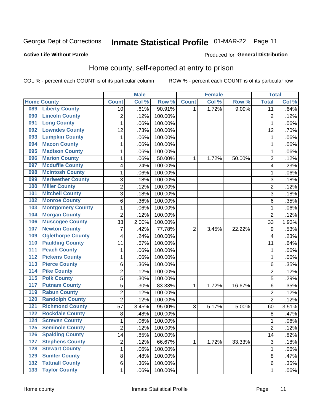## Inmate Statistical Profile 01-MAR-22 Page 11

#### **Active Life Without Parole**

#### Produced for General Distribution

### Home county, self-reported at entry to prison

COL % - percent each COUNT is of its particular column

|                  |                          |                | <b>Male</b> |         |                | <b>Female</b> |        | <b>Total</b>   |       |
|------------------|--------------------------|----------------|-------------|---------|----------------|---------------|--------|----------------|-------|
|                  | <b>Home County</b>       | <b>Count</b>   | Col %       | Row %   | <b>Count</b>   | Col %         | Row %  | <b>Total</b>   | Col % |
| 089              | <b>Liberty County</b>    | 10             | .61%        | 90.91%  | 1              | 1.72%         | 9.09%  | 11             | .64%  |
| 090              | <b>Lincoln County</b>    | $\overline{2}$ | .12%        | 100.00% |                |               |        | $\overline{2}$ | .12%  |
| 091              | <b>Long County</b>       | $\mathbf 1$    | .06%        | 100.00% |                |               |        | 1              | .06%  |
| 092              | <b>Lowndes County</b>    | 12             | .73%        | 100.00% |                |               |        | 12             | .70%  |
| 093              | <b>Lumpkin County</b>    | 1              | .06%        | 100.00% |                |               |        | 1              | .06%  |
| 094              | <b>Macon County</b>      | $\mathbf 1$    | .06%        | 100.00% |                |               |        | 1              | .06%  |
| 095              | <b>Madison County</b>    | 1              | .06%        | 100.00% |                |               |        | 1              | .06%  |
| 096              | <b>Marion County</b>     | 1              | .06%        | 50.00%  | 1              | 1.72%         | 50.00% | $\overline{2}$ | .12%  |
| 097              | <b>Mcduffie County</b>   | 4              | .24%        | 100.00% |                |               |        | 4              | .23%  |
| 098              | <b>Mcintosh County</b>   | $\mathbf 1$    | .06%        | 100.00% |                |               |        | 1              | .06%  |
| 099              | <b>Meriwether County</b> | 3              | .18%        | 100.00% |                |               |        | 3              | .18%  |
| 100              | <b>Miller County</b>     | $\overline{c}$ | .12%        | 100.00% |                |               |        | $\overline{2}$ | .12%  |
| 101              | <b>Mitchell County</b>   | 3              | .18%        | 100.00% |                |               |        | 3              | .18%  |
| 102              | <b>Monroe County</b>     | 6              | .36%        | 100.00% |                |               |        | 6              | .35%  |
| 103              | <b>Montgomery County</b> | 1              | .06%        | 100.00% |                |               |        | 1              | .06%  |
| 104              | <b>Morgan County</b>     | $\overline{2}$ | .12%        | 100.00% |                |               |        | $\overline{2}$ | .12%  |
| 106              | <b>Muscogee County</b>   | 33             | 2.00%       | 100.00% |                |               |        | 33             | 1.93% |
| 107              | <b>Newton County</b>     | 7              | .42%        | 77.78%  | $\overline{2}$ | 3.45%         | 22.22% | 9              | .53%  |
| 109              | <b>Oglethorpe County</b> | 4              | .24%        | 100.00% |                |               |        | 4              | .23%  |
| 110              | <b>Paulding County</b>   | 11             | .67%        | 100.00% |                |               |        | 11             | .64%  |
| 111              | <b>Peach County</b>      | 1              | .06%        | 100.00% |                |               |        | 1              | .06%  |
| $\overline{112}$ | <b>Pickens County</b>    | $\mathbf 1$    | .06%        | 100.00% |                |               |        | 1              | .06%  |
| 113              | <b>Pierce County</b>     | 6              | .36%        | 100.00% |                |               |        | 6              | .35%  |
| 114              | <b>Pike County</b>       | 2              | .12%        | 100.00% |                |               |        | $\overline{2}$ | .12%  |
| $\overline{115}$ | <b>Polk County</b>       | 5              | .30%        | 100.00% |                |               |        | 5              | .29%  |
| 117              | <b>Putnam County</b>     | 5              | .30%        | 83.33%  | 1              | 1.72%         | 16.67% | 6              | .35%  |
| 119              | <b>Rabun County</b>      | $\overline{2}$ | .12%        | 100.00% |                |               |        | $\overline{2}$ | .12%  |
| 120              | <b>Randolph County</b>   | $\overline{2}$ | .12%        | 100.00% |                |               |        | $\overline{2}$ | .12%  |
| $121$            | <b>Richmond County</b>   | 57             | 3.45%       | 95.00%  | 3              | 5.17%         | 5.00%  | 60             | 3.51% |
| 122              | <b>Rockdale County</b>   | 8              | .48%        | 100.00% |                |               |        | 8              | .47%  |
| 124              | <b>Screven County</b>    | 1              | .06%        | 100.00% |                |               |        | 1              | .06%  |
| 125              | <b>Seminole County</b>   | 2              | .12%        | 100.00% |                |               |        | $\overline{c}$ | .12%  |
| 126              | <b>Spalding County</b>   | 14             | .85%        | 100.00% |                |               |        | 14             | .82%  |
| 127              | <b>Stephens County</b>   | $\overline{2}$ | .12%        | 66.67%  | 1              | 1.72%         | 33.33% | $\sqrt{3}$     | .18%  |
| 128              | <b>Stewart County</b>    | $\mathbf 1$    | .06%        | 100.00% |                |               |        | 1              | .06%  |
| 129              | <b>Sumter County</b>     | 8              | .48%        | 100.00% |                |               |        | 8              | .47%  |
| 132              | <b>Tattnall County</b>   | 6              | .36%        | 100.00% |                |               |        | 6              | .35%  |
| $\overline{133}$ | <b>Taylor County</b>     | $\mathbf{1}$   | .06%        | 100.00% |                |               |        | 1              | .06%  |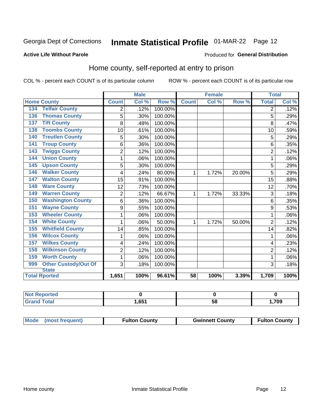## Inmate Statistical Profile 01-MAR-22 Page 12

#### **Active Life Without Parole**

### Produced for General Distribution

### Home county, self-reported at entry to prison

COL % - percent each COUNT is of its particular column

|                                    |                | <b>Male</b> |         |              | <b>Female</b> |        | <b>Total</b>   |       |
|------------------------------------|----------------|-------------|---------|--------------|---------------|--------|----------------|-------|
| <b>Home County</b>                 | <b>Count</b>   | Col %       | Row %   | <b>Count</b> | Col %         | Row %  | <b>Total</b>   | Col % |
| <b>Telfair County</b><br>134       | 2              | .12%        | 100.00% |              |               |        | 2              | .12%  |
| <b>Thomas County</b><br>136        | 5              | .30%        | 100.00% |              |               |        | 5              | .29%  |
| <b>Tift County</b><br>137          | 8              | .48%        | 100.00% |              |               |        | 8              | .47%  |
| <b>Toombs County</b><br>138        | 10             | .61%        | 100.00% |              |               |        | 10             | .59%  |
| <b>Treutlen County</b><br>140      | 5              | .30%        | 100.00% |              |               |        | 5              | .29%  |
| <b>Troup County</b><br>141         | 6              | .36%        | 100.00% |              |               |        | 6              | .35%  |
| <b>Twiggs County</b><br>143        | $\overline{c}$ | .12%        | 100.00% |              |               |        | $\overline{2}$ | .12%  |
| <b>Union County</b><br>144         | 1              | .06%        | 100.00% |              |               |        | 1              | .06%  |
| <b>Upson County</b><br>145         | 5              | .30%        | 100.00% |              |               |        | 5              | .29%  |
| <b>Walker County</b><br>146        | 4              | .24%        | 80.00%  | 1            | 1.72%         | 20.00% | 5              | .29%  |
| <b>Walton County</b><br>147        | 15             | .91%        | 100.00% |              |               |        | 15             | .88%  |
| <b>Ware County</b><br>148          | 12             | .73%        | 100.00% |              |               |        | 12             | .70%  |
| <b>Warren County</b><br>149        | $\overline{2}$ | .12%        | 66.67%  | 1            | 1.72%         | 33.33% | 3              | .18%  |
| <b>Washington County</b><br>150    | 6              | .36%        | 100.00% |              |               |        | 6              | .35%  |
| <b>Wayne County</b><br>151         | 9              | .55%        | 100.00% |              |               |        | 9              | .53%  |
| <b>Wheeler County</b><br>153       | 1              | .06%        | 100.00% |              |               |        | 1              | .06%  |
| <b>White County</b><br>154         | 1              | .06%        | 50.00%  | 1            | 1.72%         | 50.00% | $\overline{2}$ | .12%  |
| <b>Whitfield County</b><br>155     | 14             | .85%        | 100.00% |              |               |        | 14             | .82%  |
| <b>Wilcox County</b><br>156        | 1              | .06%        | 100.00% |              |               |        |                | .06%  |
| <b>Wilkes County</b><br>157        | 4              | .24%        | 100.00% |              |               |        | 4              | .23%  |
| <b>Wilkinson County</b><br>158     | $\overline{2}$ | .12%        | 100.00% |              |               |        | $\overline{2}$ | .12%  |
| <b>Worth County</b><br>159         | 1              | .06%        | 100.00% |              |               |        | 1              | .06%  |
| <b>Other Custody/Out Of</b><br>999 | 3              | .18%        | 100.00% |              |               |        | 3              | .18%  |
| <b>State</b>                       |                |             |         |              |               |        |                |       |
| <b>Total Rported</b>               | 1,651          | 100%        | 96.61%  | 58           | 100%          | 3.39%  | 1,709          | 100%  |

| <b>Not Reported</b> |      |    |     |
|---------------------|------|----|-----|
| <b>Total</b>        | .651 | ວດ | 709 |

| Mode (most frequent)<br><b>Fulton County</b> | <b>Gwinnett County</b> | <b>Fulton County</b> |
|----------------------------------------------|------------------------|----------------------|
|----------------------------------------------|------------------------|----------------------|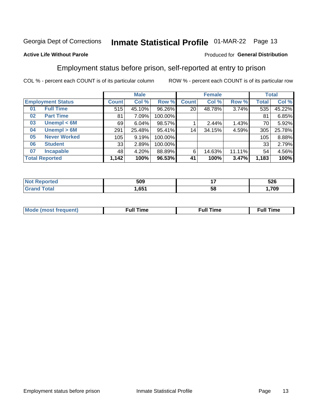## Inmate Statistical Profile 01-MAR-22 Page 13

### **Active Life Without Parole**

### Produced for General Distribution

### Employment status before prison, self-reported at entry to prison

COL % - percent each COUNT is of its particular column

|                           |              | <b>Male</b> |         |              | <b>Female</b> |        |       | <b>Total</b> |  |
|---------------------------|--------------|-------------|---------|--------------|---------------|--------|-------|--------------|--|
| <b>Employment Status</b>  | <b>Count</b> | Col %       | Row %   | <b>Count</b> | Col %         | Row %  | Total | Col %        |  |
| <b>Full Time</b><br>01    | 515          | 45.10%      | 96.26%  | 20           | 48.78%        | 3.74%  | 535   | 45.22%       |  |
| <b>Part Time</b><br>02    | 81           | 7.09%       | 100.00% |              |               |        | 81    | 6.85%        |  |
| Unempl $<$ 6M<br>03       | 69           | 6.04%       | 98.57%  |              | 2.44%         | 1.43%  | 70    | 5.92%        |  |
| Unempl > 6M<br>04         | 291          | 25.48%      | 95.41%  | 14           | 34.15%        | 4.59%  | 305   | 25.78%       |  |
| <b>Never Worked</b><br>05 | 105          | 9.19%       | 100.00% |              |               |        | 105   | 8.88%        |  |
| <b>Student</b><br>06      | 33           | 2.89%       | 100.00% |              |               |        | 33    | 2.79%        |  |
| <b>Incapable</b><br>07    | 48           | 4.20%       | 88.89%  | 6            | 14.63%        | 11.11% | 54    | 4.56%        |  |
| <b>Total Reported</b>     | 1,142        | 100%        | 96.53%  | 41           | 100%          | 3.47%  | 1,183 | 100%         |  |

| 509                     | . . | 526 |
|-------------------------|-----|-----|
| C <sub>5</sub> 1<br>uJ. | ວເ  | 700 |

| Mc | ∙u∥<br>----<br>ıme | ίuΙ<br>Πmε |
|----|--------------------|------------|
|    |                    |            |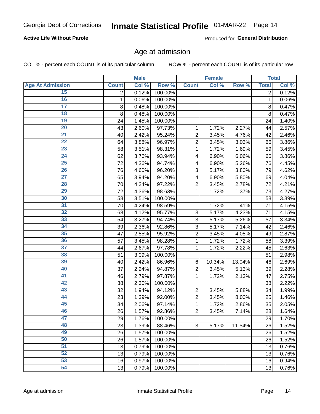### **Active Life Without Parole**

Produced for General Distribution

### Age at admission

COL % - percent each COUNT is of its particular column

|                         |              | <b>Male</b> |         |                | <b>Female</b> |        |              | <b>Total</b> |
|-------------------------|--------------|-------------|---------|----------------|---------------|--------|--------------|--------------|
| <b>Age At Admission</b> | <b>Count</b> | Col %       | Row %   | <b>Count</b>   | Col %         | Row %  | <b>Total</b> | Col %        |
| 15                      | 2            | 0.12%       | 100.00% |                |               |        | 2            | 0.12%        |
| 16                      | 1            | 0.06%       | 100.00% |                |               |        | 1            | 0.06%        |
| $\overline{17}$         | 8            | 0.48%       | 100.00% |                |               |        | 8            | 0.47%        |
| 18                      | 8            | 0.48%       | 100.00% |                |               |        | 8            | 0.47%        |
| 19                      | 24           | 1.45%       | 100.00% |                |               |        | 24           | 1.40%        |
| $\overline{20}$         | 43           | 2.60%       | 97.73%  | 1              | 1.72%         | 2.27%  | 44           | 2.57%        |
| 21                      | 40           | 2.42%       | 95.24%  | $\overline{2}$ | 3.45%         | 4.76%  | 42           | 2.46%        |
| 22                      | 64           | 3.88%       | 96.97%  | $\overline{2}$ | 3.45%         | 3.03%  | 66           | 3.86%        |
| 23                      | 58           | 3.51%       | 98.31%  | 1              | 1.72%         | 1.69%  | 59           | 3.45%        |
| 24                      | 62           | 3.76%       | 93.94%  | 4              | 6.90%         | 6.06%  | 66           | 3.86%        |
| $\overline{25}$         | 72           | 4.36%       | 94.74%  | 4              | 6.90%         | 5.26%  | 76           | 4.45%        |
| 26                      | 76           | 4.60%       | 96.20%  | 3              | 5.17%         | 3.80%  | 79           | 4.62%        |
| $\overline{27}$         | 65           | 3.94%       | 94.20%  | 4              | 6.90%         | 5.80%  | 69           | 4.04%        |
| 28                      | 70           | 4.24%       | 97.22%  | $\overline{2}$ | 3.45%         | 2.78%  | 72           | 4.21%        |
| 29                      | 72           | 4.36%       | 98.63%  | 1              | 1.72%         | 1.37%  | 73           | 4.27%        |
| 30                      | 58           | 3.51%       | 100.00% |                |               |        | 58           | 3.39%        |
| 31                      | 70           | 4.24%       | 98.59%  | 1              | 1.72%         | 1.41%  | 71           | 4.15%        |
| 32                      | 68           | 4.12%       | 95.77%  | 3              | 5.17%         | 4.23%  | 71           | 4.15%        |
| 33                      | 54           | 3.27%       | 94.74%  | 3              | 5.17%         | 5.26%  | 57           | 3.34%        |
| 34                      | 39           | 2.36%       | 92.86%  | 3              | 5.17%         | 7.14%  | 42           | 2.46%        |
| 35                      | 47           | 2.85%       | 95.92%  | $\overline{2}$ | 3.45%         | 4.08%  | 49           | 2.87%        |
| 36                      | 57           | 3.45%       | 98.28%  | 1              | 1.72%         | 1.72%  | 58           | 3.39%        |
| $\overline{37}$         | 44           | 2.67%       | 97.78%  | 1              | 1.72%         | 2.22%  | 45           | 2.63%        |
| 38                      | 51           | 3.09%       | 100.00% |                |               |        | 51           | 2.98%        |
| 39                      | 40           | 2.42%       | 86.96%  | 6              | 10.34%        | 13.04% | 46           | 2.69%        |
| 40                      | 37           | 2.24%       | 94.87%  | $\overline{2}$ | 3.45%         | 5.13%  | 39           | 2.28%        |
| 41                      | 46           | 2.79%       | 97.87%  | 1              | 1.72%         | 2.13%  | 47           | 2.75%        |
| 42                      | 38           | 2.30%       | 100.00% |                |               |        | 38           | 2.22%        |
| 43                      | 32           | 1.94%       | 94.12%  | $\overline{2}$ | 3.45%         | 5.88%  | 34           | 1.99%        |
| 44                      | 23           | 1.39%       | 92.00%  | $\overline{2}$ | 3.45%         | 8.00%  | 25           | 1.46%        |
| 45                      | 34           | 2.06%       | 97.14%  | 1              | 1.72%         | 2.86%  | 35           | 2.05%        |
| 46                      | 26           | 1.57%       | 92.86%  | $\overline{2}$ | 3.45%         | 7.14%  | 28           | 1.64%        |
| 47                      | 29           | 1.76%       | 100.00% |                |               |        | 29           | 1.70%        |
| 48                      | 23           | 1.39%       | 88.46%  | 3              | 5.17%         | 11.54% | 26           | 1.52%        |
| 49                      | 26           | 1.57%       | 100.00% |                |               |        | 26           | 1.52%        |
| 50                      | 26           | 1.57%       | 100.00% |                |               |        | 26           | 1.52%        |
| $\overline{51}$         | 13           | 0.79%       | 100.00% |                |               |        | 13           | 0.76%        |
| 52                      | 13           | 0.79%       | 100.00% |                |               |        | 13           | 0.76%        |
| 53                      | 16           | 0.97%       | 100.00% |                |               |        | 16           | 0.94%        |
| 54                      | 13           | 0.79%       | 100.00% |                |               |        | 13           | 0.76%        |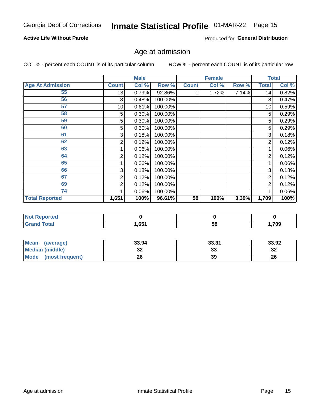### **Active Life Without Parole**

Produced for General Distribution

### Age at admission

COL % - percent each COUNT is of its particular column

|                         |              | <b>Male</b> |         |              | <b>Female</b> |       |       | <b>Total</b> |
|-------------------------|--------------|-------------|---------|--------------|---------------|-------|-------|--------------|
| <b>Age At Admission</b> | <b>Count</b> | Col %       | Row %   | <b>Count</b> | Col %         | Row % | Total | Col %        |
| 55                      | 13           | 0.79%       | 92.86%  |              | 1.72%         | 7.14% | 14    | 0.82%        |
| 56                      | 8            | 0.48%       | 100.00% |              |               |       | 8     | 0.47%        |
| 57                      | 10           | 0.61%       | 100.00% |              |               |       | 10    | 0.59%        |
| 58                      | 5            | 0.30%       | 100.00% |              |               |       | 5     | 0.29%        |
| 59                      | 5            | 0.30%       | 100.00% |              |               |       | 5     | 0.29%        |
| 60                      | 5            | 0.30%       | 100.00% |              |               |       | 5     | 0.29%        |
| 61                      | 3            | 0.18%       | 100.00% |              |               |       | 3     | 0.18%        |
| 62                      | 2            | 0.12%       | 100.00% |              |               |       | 2     | 0.12%        |
| 63                      |              | 0.06%       | 100.00% |              |               |       |       | 0.06%        |
| 64                      | 2            | 0.12%       | 100.00% |              |               |       | 2     | 0.12%        |
| 65                      |              | 0.06%       | 100.00% |              |               |       |       | 0.06%        |
| 66                      | 3            | 0.18%       | 100.00% |              |               |       | 3     | 0.18%        |
| 67                      | 2            | 0.12%       | 100.00% |              |               |       | 2     | 0.12%        |
| 69                      | 2            | 0.12%       | 100.00% |              |               |       | 2     | 0.12%        |
| 74                      |              | 0.06%       | 100.00% |              |               |       |       | 0.06%        |
| <b>Total Reported</b>   | 1,651        | 100%        | 96.61%  | 58           | 100%          | 3.39% | 1,709 | 100%         |

| <b>Not Reported</b> |      |   |     |
|---------------------|------|---|-----|
| <b>Total</b>        | ,651 | ວ | 709 |

| <b>Mean</b><br>(average) | 33.94   | 33.31    | 33.92   |
|--------------------------|---------|----------|---------|
| <b>Median (middle)</b>   | ົ<br>JZ | າາ<br>აა | ົ<br>∠ت |
| Mode<br>(most frequent)  | 26      | 39       | 26      |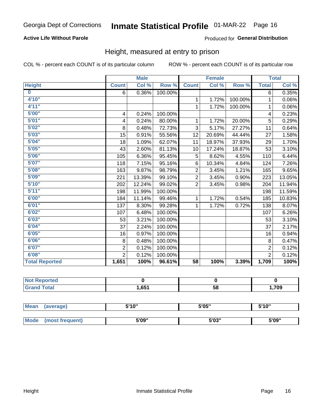### **Active Life Without Parole**

#### Produced for General Distribution

### Height, measured at entry to prison

COL % - percent each COUNT is of its particular column

|                       |                | <b>Male</b> |         |                 | <b>Female</b> |         |                | <b>Total</b> |
|-----------------------|----------------|-------------|---------|-----------------|---------------|---------|----------------|--------------|
| <b>Height</b>         | <b>Count</b>   | Col %       | Row %   | <b>Count</b>    | Col %         | Row %   | <b>Total</b>   | Col %        |
| $\bf{0}$              | 6              | 0.36%       | 100.00% |                 |               |         | 6              | 0.35%        |
| 4'10"                 |                |             |         | 1               | 1.72%         | 100.00% | $\mathbf{1}$   | 0.06%        |
| 4'11''                |                |             |         | 1               | 1.72%         | 100.00% | $\mathbf{1}$   | 0.06%        |
| 5'00''                | 4              | 0.24%       | 100.00% |                 |               |         | 4              | 0.23%        |
| 5'01"                 | 4              | 0.24%       | 80.00%  | 1               | 1.72%         | 20.00%  | 5              | 0.29%        |
| 5'02"                 | 8              | 0.48%       | 72.73%  | 3               | 5.17%         | 27.27%  | 11             | 0.64%        |
| 5'03''                | 15             | 0.91%       | 55.56%  | 12              | 20.69%        | 44.44%  | 27             | 1.58%        |
| 5'04"                 | 18             | 1.09%       | 62.07%  | 11              | 18.97%        | 37.93%  | 29             | 1.70%        |
| 5'05"                 | 43             | 2.60%       | 81.13%  | 10              | 17.24%        | 18.87%  | 53             | 3.10%        |
| 5'06''                | 105            | 6.36%       | 95.45%  | 5               | 8.62%         | 4.55%   | 110            | 6.44%        |
| 5'07''                | 118            | 7.15%       | 95.16%  | 6               | 10.34%        | 4.84%   | 124            | 7.26%        |
| 5'08''                | 163            | 9.87%       | 98.79%  | $\overline{2}$  | 3.45%         | 1.21%   | 165            | 9.65%        |
| 5'09''                | 221            | 13.39%      | 99.10%  | $\overline{2}$  | 3.45%         | 0.90%   | 223            | 13.05%       |
| 5'10''                | 202            | 12.24%      | 99.02%  | $\overline{2}$  | 3.45%         | 0.98%   | 204            | 11.94%       |
| 5'11''                | 198            | 11.99%      | 100.00% |                 |               |         | 198            | 11.59%       |
| 6'00''                | 184            | 11.14%      | 99.46%  | 1               | 1.72%         | 0.54%   | 185            | 10.83%       |
| 6'01''                | 137            | 8.30%       | 99.28%  |                 | 1.72%         | 0.72%   | 138            | 8.07%        |
| 6'02"                 | 107            | 6.48%       | 100.00% |                 |               |         | 107            | 6.26%        |
| 6'03''                | 53             | 3.21%       | 100.00% |                 |               |         | 53             | 3.10%        |
| 6'04"                 | 37             | 2.24%       | 100.00% |                 |               |         | 37             | 2.17%        |
| 6'05"                 | 16             | 0.97%       | 100.00% |                 |               |         | 16             | 0.94%        |
| 6'06''                | 8              | 0.48%       | 100.00% |                 |               |         | $\,8\,$        | 0.47%        |
| 6'07''                | $\overline{2}$ | 0.12%       | 100.00% |                 |               |         | $\overline{2}$ | 0.12%        |
| 6'08''                | $\overline{2}$ | 0.12%       | 100.00% |                 |               |         | $\overline{2}$ | 0.12%        |
| <b>Total Reported</b> | 1,651          | 100%        | 96.61%  | $\overline{58}$ | 100%          | 3.39%   | 1,709          | 100%         |

| NOT<br>rtea<br>.<br>$\sim$ |      |    |      |
|----------------------------|------|----|------|
| $int^{\bullet}$            | .651 | 58 | ,709 |

| Mean | (average)       | 5'10" | 5'05"           | 5'10"<br>J |
|------|-----------------|-------|-----------------|------------|
|      |                 |       |                 |            |
| Mode | (most frequent) | 5'09" | EINS !!<br>ว บง | 5'09"      |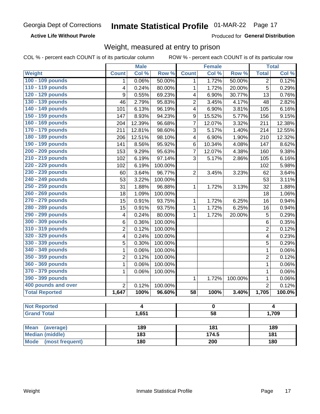#### **Active Life Without Parole**

Produced for General Distribution

### Weight, measured at entry to prison

COL % - percent each COUNT is of its particular column

|                                     |                         | <b>Male</b>             |                  |                 | <b>Female</b>    |         |                | <b>Total</b>         |  |
|-------------------------------------|-------------------------|-------------------------|------------------|-----------------|------------------|---------|----------------|----------------------|--|
| Weight                              | <b>Count</b>            | Col %                   | Row <sup>%</sup> | <b>Count</b>    | Col %            | Row %   | <b>Total</b>   | Col %                |  |
| 100 - 109 pounds                    | 1                       | 0.06%                   | 50.00%           | 1               | 1.72%            | 50.00%  | $\overline{2}$ | 0.12%                |  |
| 110 - 119 pounds                    | 4                       | 0.24%                   | 80.00%           | 1               | 1.72%            | 20.00%  | 5              | 0.29%                |  |
| 120 - 129 pounds                    | 9                       | 0.55%                   | 69.23%           | 4               | 6.90%            | 30.77%  | 13             | 0.76%                |  |
| 130 - 139 pounds                    | 46                      | 2.79%                   | 95.83%           | $\overline{2}$  | 3.45%            | 4.17%   | 48             | 2.82%                |  |
| 140 - 149 pounds                    | 101                     | 6.13%                   | 96.19%           | 4               | 6.90%            | 3.81%   | 105            | 6.16%                |  |
| 150 - 159 pounds                    | 147                     | 8.93%                   | 94.23%           | 9               | 15.52%           | 5.77%   | 156            | 9.15%                |  |
| 160 - 169 pounds                    | 204                     | 12.39%                  | 96.68%           | $\overline{7}$  | 12.07%           | 3.32%   | 211            | 12.38%               |  |
| 170 - 179 pounds                    | 211                     | 12.81%                  | 98.60%           | 3               | 5.17%            | 1.40%   | 214            | 12.55%               |  |
| 180 - 189 pounds                    | 206                     | 12.51%                  | 98.10%           | 4               | 6.90%            | 1.90%   | 210            | 12.32%               |  |
| 190 - 199 pounds                    | 141                     | 8.56%                   | 95.92%           | 6               | 10.34%           | 4.08%   | 147            | 8.62%                |  |
| 200 - 209 pounds                    | 153                     | 9.29%                   | 95.63%           | $\overline{7}$  | 12.07%           | 4.38%   | 160            | 9.38%                |  |
| 210 - 219 pounds                    | 102                     | 6.19%                   | 97.14%           | 3               | 5.17%            | 2.86%   | 105            | 6.16%                |  |
| 220 - 229 pounds                    | 102                     | 6.19%                   | 100.00%          |                 |                  |         | 102            | 5.98%                |  |
| 230 - 239 pounds                    | 60                      | 3.64%                   | 96.77%           | $\overline{2}$  | 3.45%            | 3.23%   | 62             | 3.64%                |  |
| 240 - 249 pounds                    | 53                      | 3.22%                   | 100.00%          |                 |                  |         | 53             | 3.11%                |  |
| 250 - 259 pounds                    | 31                      | 1.88%                   | 96.88%           | 1               | 1.72%            | 3.13%   | 32             | 1.88%                |  |
| 260 - 269 pounds                    | 18                      | 1.09%                   | 100.00%          |                 |                  |         | 18             | 1.06%                |  |
| 270 - 279 pounds                    | 15                      | 0.91%                   | 93.75%           | 1               | 1.72%            | 6.25%   | 16             | 0.94%                |  |
| 280 - 289 pounds                    | 15                      | 0.91%                   | 93.75%           | 1               | 1.72%            | 6.25%   | 16             | 0.94%                |  |
| 290 - 299 pounds                    | $\overline{\mathbf{4}}$ | 0.24%                   | 80.00%           | 1               | 1.72%            | 20.00%  | 5              | 0.29%                |  |
| 300 - 309 pounds                    | 6                       | 0.36%                   | 100.00%          |                 |                  |         | 6              | 0.35%                |  |
| 310 - 319 pounds                    | $\overline{2}$          | 0.12%                   | 100.00%          |                 |                  |         | $\overline{2}$ | 0.12%                |  |
| 320 - 329 pounds                    | 4                       | 0.24%                   | 100.00%          |                 |                  |         | 4              | 0.23%                |  |
| 330 - 339 pounds                    | 5                       | 0.30%                   | 100.00%          |                 |                  |         | 5              | 0.29%                |  |
| 340 - 349 pounds                    | 1                       | 0.06%                   | 100.00%          |                 |                  |         | 1              | 0.06%                |  |
| 350 - 359 pounds                    | $\overline{2}$          | 0.12%                   | 100.00%          |                 |                  |         | $\overline{2}$ | 0.12%                |  |
| 360 - 369 pounds                    | 1                       | 0.06%                   | 100.00%          |                 |                  |         | $\mathbf 1$    | 0.06%                |  |
| 370 - 379 pounds                    | 1                       | 0.06%                   | 100.00%          |                 |                  |         | $\mathbf 1$    | 0.06%                |  |
| 390 - 399 pounds                    |                         |                         |                  | 1               | 1.72%            | 100.00% | $\mathbf 1$    | 0.06%                |  |
| 400 pounds and over                 | $\overline{2}$          | 0.12%                   | 100.00%          |                 |                  |         | $\overline{2}$ | 0.12%                |  |
| <b>Total Reported</b>               | 1,647                   | 100%                    | 96.60%           | 58              | 100%             | 3.40%   | 1,705          | $\overline{100.0\%}$ |  |
|                                     |                         |                         |                  |                 |                  |         |                |                      |  |
| <b>Not Reported</b>                 |                         | $\overline{\mathbf{4}}$ |                  |                 | 0                |         |                | 4                    |  |
| <b>Grand Total</b>                  |                         | 1,651                   |                  | $\overline{58}$ |                  |         | 1,709          |                      |  |
| <b>Mean</b>                         |                         | 189                     |                  |                 | 181              |         |                | 189                  |  |
| (average)<br><b>Median (middle)</b> |                         | $\overline{183}$        |                  |                 | 174.5            |         |                | 181                  |  |
| <b>Mode</b><br>(most frequent)      |                         | 180                     |                  |                 | $\overline{200}$ |         |                |                      |  |
|                                     |                         |                         |                  |                 |                  |         | 180            |                      |  |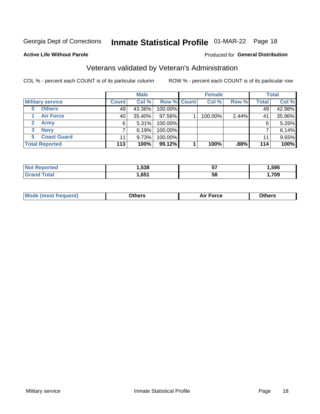## Inmate Statistical Profile 01-MAR-22 Page 18

**Active Life Without Parole** 

#### Produced for General Distribution

### Veterans validated by Veteran's Administration

COL % - percent each COUNT is of its particular column

|                          |              | <b>Male</b> |             | <b>Female</b> |       |              | <b>Total</b> |
|--------------------------|--------------|-------------|-------------|---------------|-------|--------------|--------------|
| <b>Military service</b>  | <b>Count</b> | Col %       | Row % Count | Col %         | Row % | <b>Total</b> | Col %        |
| <b>Others</b><br>0       | 49           | 43.36%      | 100.00%     |               |       | 49           | 42.98%       |
| <b>Air Force</b>         | 40           | 35.40%      | 97.56%      | 100.00%       | 2.44% | 41           | 35.96%       |
| <b>Army</b>              | 6            | 5.31%       | 100.00%     |               |       | 6            | 5.26%        |
| <b>Navy</b><br>3         |              | 6.19%       | 100.00%     |               |       |              | 6.14%        |
| <b>Coast Guard</b><br>5. | 11           | 9.73%       | 100.00%     |               |       | 11           | 9.65%        |
| <b>Total Reported</b>    | 113          | 100%        | 99.12%      | 100%          | .88%  | 114          | 100%         |

| тес        | .538 | --<br>IJ | .595 |
|------------|------|----------|------|
| <b>ota</b> | .651 | 5٤       | 709  |

| Mo<br>m | ∖‡h∧rc<br>____ | $-0.002$<br>28 F T<br>UI CE | <b>Others</b><br>____ |
|---------|----------------|-----------------------------|-----------------------|
|         |                |                             |                       |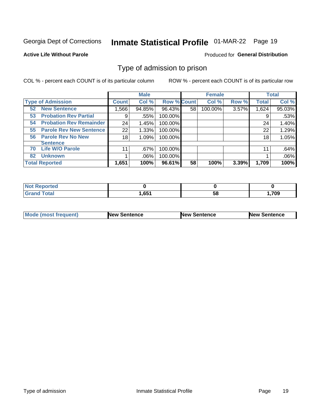## Inmate Statistical Profile 01-MAR-22 Page 19

#### **Active Life Without Parole**

#### Produced for General Distribution

### Type of admission to prison

COL % - percent each COUNT is of its particular column

|                                        |                 | <b>Male</b> |                    |    | <b>Female</b> |       |              | <b>Total</b> |
|----------------------------------------|-----------------|-------------|--------------------|----|---------------|-------|--------------|--------------|
| <b>Type of Admission</b>               | <b>Count</b>    | Col %       | <b>Row % Count</b> |    | Col %         | Row % | <b>Total</b> | Col %        |
| <b>New Sentence</b><br>52 <sub>2</sub> | 1,566           | 94.85%      | 96.43%             | 58 | 100.00%       | 3.57% | 1,624        | 95.03%       |
| <b>Probation Rev Partial</b><br>53     | 9               | .55%        | 100.00%            |    |               |       | 9            | .53%         |
| <b>Probation Rev Remainder</b><br>54   | 24              | 1.45%       | 100.00%            |    |               |       | 24           | 1.40%        |
| <b>Parole Rev New Sentence</b><br>55   | 22              | 1.33%       | 100.00%            |    |               |       | 22           | 1.29%        |
| <b>Parole Rev No New</b><br>56         | 18              | 1.09%       | 100.00%            |    |               |       | 18           | 1.05%        |
| <b>Sentence</b>                        |                 |             |                    |    |               |       |              |              |
| <b>Life W/O Parole</b><br>70           | 11 <sub>1</sub> | .67%        | 100.00%            |    |               |       | 11           | .64%         |
| <b>Unknown</b><br>82                   |                 | .06%        | 100.00%            |    |               |       |              | .06%         |
| <b>Total Reported</b>                  | 1,651           | 100%        | 96.61%             | 58 | 100%          | 3.39% | 1,709        | 100%         |

| <b>Not Reported</b> |       |    |        |
|---------------------|-------|----|--------|
| <b>Grand Total</b>  | 1,651 | วง | ,709.، |

| Mode (most frequent) | <b>New Sentence</b> | <b>New Sentence</b> | <b>New Sentence</b> |
|----------------------|---------------------|---------------------|---------------------|
|                      |                     |                     |                     |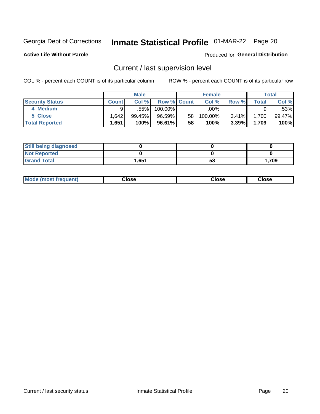## Inmate Statistical Profile 01-MAR-22 Page 20

**Active Life Without Parole** 

### **Produced for General Distribution**

### Current / last supervision level

COL % - percent each COUNT is of its particular column

|                        |              | <b>Male</b> |                    |    | <b>Female</b> |       |       | <b>Total</b> |
|------------------------|--------------|-------------|--------------------|----|---------------|-------|-------|--------------|
| <b>Security Status</b> | <b>Count</b> | Col%        | <b>Row % Count</b> |    | Col %         | Row % | Total | Col %        |
| 4 Medium               | a            | .55%        | 100.00%            |    | $.00\%$       |       |       | .53%         |
| 5 Close                | .642         | 99.45%      | 96.59%             | 58 | 100.00%       | 3.41% | 1,700 | 99.47%       |
| <b>Total Reported</b>  | 1,651        | 100%        | 96.61%             | 58 | 100%          | 3.39% | 1,709 | 100%         |

| <b>Still being diagnosed</b> |       |    |       |
|------------------------------|-------|----|-------|
| <b>Not Reported</b>          |       |    |       |
| <b>Grand Total</b>           | 1,651 | 58 | 1,709 |

| <b>Mode (most frequent)</b> | Close | ∵lose | Close |
|-----------------------------|-------|-------|-------|
|                             |       |       |       |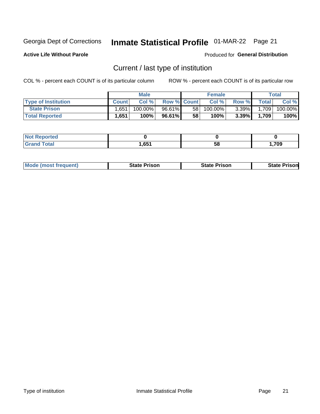## Inmate Statistical Profile 01-MAR-22 Page 21

**Active Life Without Parole** 

Produced for General Distribution

### Current / last type of institution

COL % - percent each COUNT is of its particular column

|                            |              | <b>Male</b> |                    |                 | <b>Female</b> |          |              | Total   |
|----------------------------|--------------|-------------|--------------------|-----------------|---------------|----------|--------------|---------|
| <b>Type of Institution</b> | <b>Count</b> | Col %       | <b>Row % Count</b> |                 | Col %         | Row %    | <b>Total</b> | Col %   |
| <b>State Prison</b>        | 1,651        | 100.00%     | 96.61%             | 58 <sub>1</sub> | 100.00%       | $3.39\%$ | 1,709        | 100.00% |
| <b>Total Reported</b>      | 1,651        | 100%        | 96.61%I            | 58              | 100%          | $3.39\%$ | 1.709        | 100%    |

| тес.          |     |    |      |
|---------------|-----|----|------|
| $- - - - - -$ | CE1 | ၁၀ | .709 |

|  | <b>Mode (most frequent)</b> | State Prison | <b>State Prison</b> | <b>State Prison</b> |
|--|-----------------------------|--------------|---------------------|---------------------|
|--|-----------------------------|--------------|---------------------|---------------------|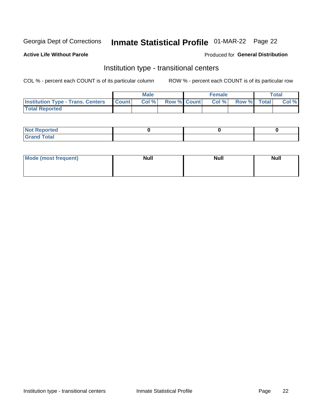## Inmate Statistical Profile 01-MAR-22 Page 22

#### **Active Life Without Parole**

### Produced for General Distribution

### Institution type - transitional centers

COL % - percent each COUNT is of its particular column

|                                                  | <b>Male</b> |                    | <b>Female</b> |             | Total |
|--------------------------------------------------|-------------|--------------------|---------------|-------------|-------|
| <b>Institution Type - Trans. Centers Count  </b> | Col%        | <b>Row % Count</b> | Col %         | Row % Total | Col % |
| <b>Total Reported</b>                            |             |                    |               |             |       |

| <b>Reported</b><br><b>NOT</b><br>$\sim$            |  |  |
|----------------------------------------------------|--|--|
| $f$ $f \circ f \circ f$<br>$C = 1$<br><b>TULAI</b> |  |  |

| Mode (most frequent) | <b>Null</b> | <b>Null</b> | <b>Null</b> |
|----------------------|-------------|-------------|-------------|
|                      |             |             |             |
|                      |             |             |             |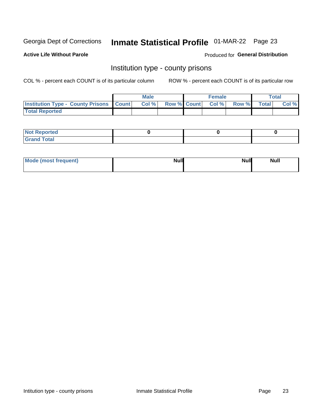## Inmate Statistical Profile 01-MAR-22 Page 23

**Active Life Without Parole** 

**Produced for General Distribution** 

### Institution type - county prisons

COL % - percent each COUNT is of its particular column

|                                                    | <b>Male</b> |       |  | <b>Female</b> |                          |             | <b>Total</b> |       |
|----------------------------------------------------|-------------|-------|--|---------------|--------------------------|-------------|--------------|-------|
| <b>Institution Type - County Prisons   Count  </b> |             | Col % |  |               | <b>Row % Count Col %</b> | Row % Total |              | Col % |
| <b>Total Reported</b>                              |             |       |  |               |                          |             |              |       |

| <b>Not</b><br>: Reported<br>$\cdots$ |  |  |
|--------------------------------------|--|--|
| <b>Total</b><br>---                  |  |  |

| Mode (most frequent) | <b>Null</b> | <b>Null</b><br><b>Null</b> |
|----------------------|-------------|----------------------------|
|                      |             |                            |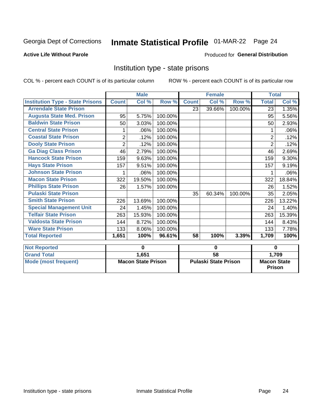## Inmate Statistical Profile 01-MAR-22 Page 24

### **Active Life Without Parole**

#### Produced for General Distribution

### Institution type - state prisons

|                                         | <b>Male</b>               |        |                             |              | <b>Female</b> |                                     | <b>Total</b>   |          |
|-----------------------------------------|---------------------------|--------|-----------------------------|--------------|---------------|-------------------------------------|----------------|----------|
| <b>Institution Type - State Prisons</b> | <b>Count</b>              | Col %  | Row %                       | <b>Count</b> | Col %         | Row %                               | <b>Total</b>   | Col %    |
| <b>Arrendale State Prison</b>           |                           |        |                             | 23           | 39.66%        | 100.00%                             | 23             | 1.35%    |
| <b>Augusta State Med. Prison</b>        | 95                        | 5.75%  | 100.00%                     |              |               |                                     | 95             | 5.56%    |
| <b>Baldwin State Prison</b>             | 50                        | 3.03%  | 100.00%                     |              |               |                                     | 50             | 2.93%    |
| <b>Central State Prison</b>             | 1                         | .06%   | 100.00%                     |              |               |                                     | 1              | .06%     |
| <b>Coastal State Prison</b>             | $\overline{2}$            | .12%   | 100.00%                     |              |               |                                     | $\overline{2}$ | .12%     |
| <b>Dooly State Prison</b>               | $\overline{2}$            | .12%   | 100.00%                     |              |               |                                     | $\overline{2}$ | .12%     |
| <b>Ga Diag Class Prison</b>             | 46                        | 2.79%  | 100.00%                     |              |               |                                     | 46             | 2.69%    |
| <b>Hancock State Prison</b>             | 159                       | 9.63%  | 100.00%                     |              |               |                                     | 159            | $9.30\%$ |
| <b>Hays State Prison</b>                | 157                       | 9.51%  | 100.00%                     |              |               |                                     | 157            | 9.19%    |
| <b>Johnson State Prison</b>             | 1                         | .06%   | 100.00%                     |              |               |                                     |                | .06%     |
| <b>Macon State Prison</b>               | 322                       | 19.50% | 100.00%                     |              |               |                                     | 322            | 18.84%   |
| <b>Phillips State Prison</b>            | 26                        | 1.57%  | 100.00%                     |              |               |                                     | 26             | 1.52%    |
| <b>Pulaski State Prison</b>             |                           |        |                             | 35           | 60.34%        | 100.00%                             | 35             | 2.05%    |
| <b>Smith State Prison</b>               | 226                       | 13.69% | 100.00%                     |              |               |                                     | 226            | 13.22%   |
| <b>Special Management Unit</b>          | 24                        | 1.45%  | 100.00%                     |              |               |                                     | 24             | 1.40%    |
| <b>Telfair State Prison</b>             | 263                       | 15.93% | 100.00%                     |              |               |                                     | 263            | 15.39%   |
| <b>Valdosta State Prison</b>            | 144                       | 8.72%  | 100.00%                     |              |               |                                     | 144            | 8.43%    |
| <b>Ware State Prison</b>                | 133                       | 8.06%  | 100.00%                     |              |               |                                     | 133            | 7.78%    |
| <b>Total Reported</b>                   | 1,651                     | 100%   | 96.61%                      | 58           | 100%          | 3.39%                               | 1,709          | 100%     |
| <b>Not Reported</b>                     | 0                         |        | 0                           |              |               | $\bf{0}$                            |                |          |
| <b>Grand Total</b>                      |                           | 1,651  |                             | 58           |               |                                     |                | 1,709    |
| <b>Mode (most frequent)</b>             | <b>Macon State Prison</b> |        | <b>Pulaski State Prison</b> |              |               | <b>Macon State</b><br><b>Prison</b> |                |          |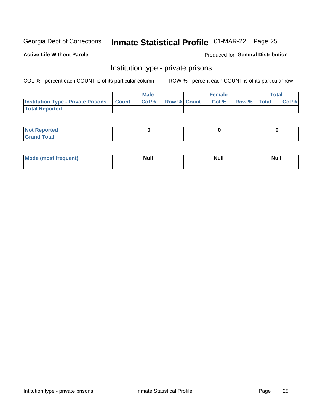## Inmate Statistical Profile 01-MAR-22 Page 25

### **Active Life Without Parole**

#### Produced for General Distribution

### Institution type - private prisons

COL % - percent each COUNT is of its particular column

|                                                     | <b>Male</b> |       |                    | <b>Female</b> |      |             | Total |       |
|-----------------------------------------------------|-------------|-------|--------------------|---------------|------|-------------|-------|-------|
| <b>Institution Type - Private Prisons   Count  </b> |             | Col % | <b>Row % Count</b> |               | Col% | Row % Total |       | Col % |
| <b>Total Reported</b>                               |             |       |                    |               |      |             |       |       |

| Not Reported          |  |  |
|-----------------------|--|--|
| <b>Cotal</b><br>_____ |  |  |

| <b>Mo</b><br>frequent) | <b>Null</b> | <b>Null</b> | . . I *<br><b>IVUII</b> |
|------------------------|-------------|-------------|-------------------------|
|                        |             |             |                         |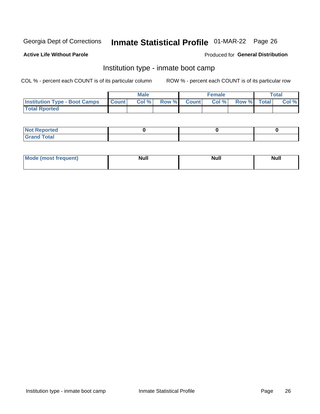## Inmate Statistical Profile 01-MAR-22 Page 26

#### **Active Life Without Parole**

### **Produced for General Distribution**

### Institution type - inmate boot camp

COL % - percent each COUNT is of its particular column

|                                      | <b>Male</b>  |       |               | <b>Female</b> |       |             | <b>Total</b> |       |  |
|--------------------------------------|--------------|-------|---------------|---------------|-------|-------------|--------------|-------|--|
| <b>Institution Type - Boot Camps</b> | <b>Count</b> | Col % | <b>Row %I</b> | <b>Count</b>  | Col % | Row % Total |              | Col % |  |
| <b>Total Rported</b>                 |              |       |               |               |       |             |              |       |  |

| <b>Not Reported</b>            |  |  |
|--------------------------------|--|--|
| <b>Total</b><br>C <sub>r</sub> |  |  |

| Mod<br>uamo | Nul.<br>$- - - - - -$ | <b>Null</b> | <br>uu.<br>------ |
|-------------|-----------------------|-------------|-------------------|
|             |                       |             |                   |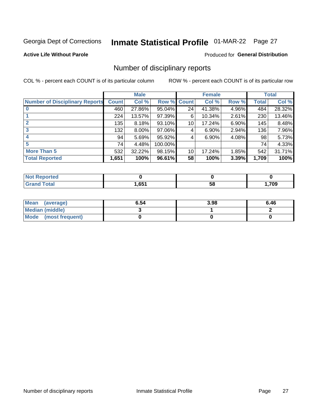## Inmate Statistical Profile 01-MAR-22 Page 27

**Active Life Without Parole** 

**Produced for General Distribution** 

### Number of disciplinary reports

COL % - percent each COUNT is of its particular column

|                                       | <b>Male</b>  |        |             | <b>Female</b> |        |       | <b>Total</b> |        |
|---------------------------------------|--------------|--------|-------------|---------------|--------|-------|--------------|--------|
| <b>Number of Disciplinary Reports</b> | <b>Count</b> | Col %  | Row % Count |               | Col %  | Row % | <b>Total</b> | Col %  |
|                                       | 460          | 27.86% | 95.04%      | 24            | 41.38% | 4.96% | 484          | 28.32% |
|                                       | 224          | 13.57% | 97.39%      | 6             | 10.34% | 2.61% | 230          | 13.46% |
| $\mathbf{2}$                          | 135          | 8.18%  | 93.10%      | 10            | 17.24% | 6.90% | 145          | 8.48%  |
| 3                                     | 132          | 8.00%  | 97.06%      | 4             | 6.90%  | 2.94% | 136          | 7.96%  |
|                                       | 94           | 5.69%  | 95.92%      | 4             | 6.90%  | 4.08% | 98           | 5.73%  |
| 5                                     | 74           | 4.48%  | 100.00%     |               |        |       | 74           | 4.33%  |
| <b>More Than 5</b>                    | 532          | 32.22% | 98.15%      | 10            | 17.24% | 1.85% | 542          | 31.71% |
| <b>Total Reported</b>                 | 1,651        | 100%   | 96.61%      | 58            | 100%   | 3.39% | 1,709        | 100%   |

| NO<br>тео |      |    |      |
|-----------|------|----|------|
| Гоtal     | ,651 | ၁၀ | ,709 |

| Mean (average)       | 6.54 | 3.98 | 6.46 |
|----------------------|------|------|------|
| Median (middle)      |      |      |      |
| Mode (most frequent) |      |      |      |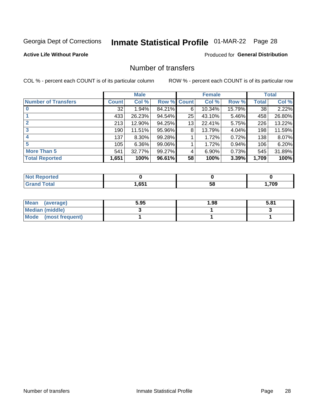## Inmate Statistical Profile 01-MAR-22 Page 28

### **Active Life Without Parole**

### **Produced for General Distribution**

### Number of transfers

COL % - percent each COUNT is of its particular column

|                            | <b>Male</b>  |          | <b>Female</b> |    |        | <b>Total</b> |              |        |
|----------------------------|--------------|----------|---------------|----|--------|--------------|--------------|--------|
| <b>Number of Transfers</b> | <b>Count</b> | Col %    | Row % Count   |    | Col %  | Row %        | <b>Total</b> | Col %  |
|                            | 32           | 1.94%    | 84.21%        | 6  | 10.34% | 15.79%       | 38           | 2.22%  |
|                            | 433          | 26.23%   | 94.54%        | 25 | 43.10% | 5.46%        | 458          | 26.80% |
| $\mathbf{2}$               | 213          | 12.90%   | 94.25%        | 13 | 22.41% | 5.75%        | 226          | 13.22% |
| 3                          | 190          | 11.51%   | 95.96%        | 8  | 13.79% | 4.04%        | 198          | 11.59% |
|                            | 137          | $8.30\%$ | 99.28%        |    | 1.72%  | 0.72%        | 138          | 8.07%  |
| 5                          | 105          | $6.36\%$ | 99.06%        |    | 1.72%  | $0.94\%$     | 106          | 6.20%  |
| <b>More Than 5</b>         | 541          | 32.77%   | 99.27%        | 4  | 6.90%  | 0.73%        | 545          | 31.89% |
| <b>Total Reported</b>      | 1,651        | 100%     | 96.61%        | 58 | 100%   | 3.39%        | 1,709        | 100%   |

| prted<br>NOT F    |      |    |      |
|-------------------|------|----|------|
| <sup>-</sup> otal | ,651 | 58 | ,709 |

| Mean (average)       | 5.95 | 1.98 | 5.81 |
|----------------------|------|------|------|
| Median (middle)      |      |      |      |
| Mode (most frequent) |      |      |      |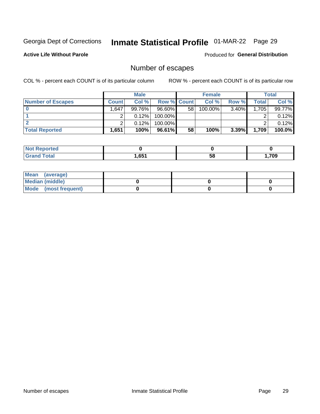## Inmate Statistical Profile 01-MAR-22 Page 29

**Active Life Without Parole** 

Produced for General Distribution

### Number of escapes

COL % - percent each COUNT is of its particular column

|                          | <b>Male</b>  |           |                    | <b>Female</b> |         |          | Total |        |
|--------------------------|--------------|-----------|--------------------|---------------|---------|----------|-------|--------|
| <b>Number of Escapes</b> | <b>Count</b> | Col %     | <b>Row % Count</b> |               | Col %   | Row %    | Total | Col %  |
|                          | .647         | $99.76\%$ | $96.60\%$          | 58            | 100.00% | $3.40\%$ | 1,705 | 99.77% |
|                          |              | 0.12%     | 100.00%            |               |         |          |       | 0.12%  |
|                          |              | 0.12%     | $100.00\%$         |               |         |          |       | 0.12%  |
| <b>Total Reported</b>    | .651         | 100%      | 96.61%             | 58            | 100%    | 3.39%    | 1,709 | 100.0% |

| <b>Not Reported</b> |       |    |      |
|---------------------|-------|----|------|
| <b>Grand Total</b>  | 651.ا | 58 | ,709 |

| Mean (average)       |  |  |
|----------------------|--|--|
| Median (middle)      |  |  |
| Mode (most frequent) |  |  |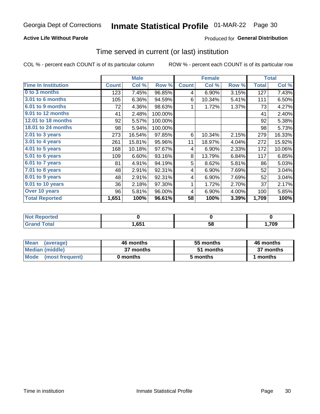### **Active Life Without Parole**

### **Produced for General Distribution**

### Time served in current (or last) institution

COL % - percent each COUNT is of its particular column

|                            |              | <b>Male</b> |         |              | <b>Female</b> | <b>Total</b> |              |        |
|----------------------------|--------------|-------------|---------|--------------|---------------|--------------|--------------|--------|
| <b>Time In Institution</b> | <b>Count</b> | Col %       | Row %   | <b>Count</b> | Col %         | Row %        | <b>Total</b> | Col %  |
| 0 to 3 months              | 123          | 7.45%       | 96.85%  | 4            | 6.90%         | 3.15%        | 127          | 7.43%  |
| <b>3.01 to 6 months</b>    | 105          | 6.36%       | 94.59%  | 6            | 10.34%        | 5.41%        | 111          | 6.50%  |
| 6.01 to 9 months           | 72           | 4.36%       | 98.63%  | 1            | 1.72%         | 1.37%        | 73           | 4.27%  |
| 9.01 to 12 months          | 41           | 2.48%       | 100.00% |              |               |              | 41           | 2.40%  |
| 12.01 to 18 months         | 92           | 5.57%       | 100.00% |              |               |              | 92           | 5.38%  |
| <b>18.01 to 24 months</b>  | 98           | 5.94%       | 100.00% |              |               |              | 98           | 5.73%  |
| $2.01$ to 3 years          | 273          | 16.54%      | 97.85%  | 6            | 10.34%        | 2.15%        | 279          | 16.33% |
| $3.01$ to 4 years          | 261          | 15.81%      | 95.96%  | 11           | 18.97%        | 4.04%        | 272          | 15.92% |
| $4.01$ to 5 years          | 168          | 10.18%      | 97.67%  | 4            | 6.90%         | 2.33%        | 172          | 10.06% |
| 5.01 to 6 years            | 109          | 6.60%       | 93.16%  | 8            | 13.79%        | 6.84%        | 117          | 6.85%  |
| 6.01 to 7 years            | 81           | 4.91%       | 94.19%  | 5            | 8.62%         | 5.81%        | 86           | 5.03%  |
| 7.01 to 8 years            | 48           | 2.91%       | 92.31%  | 4            | 6.90%         | 7.69%        | 52           | 3.04%  |
| 8.01 to 9 years            | 48           | 2.91%       | 92.31%  | 4            | 6.90%         | 7.69%        | 52           | 3.04%  |
| 9.01 to 10 years           | 36           | 2.18%       | 97.30%  | 1            | 1.72%         | 2.70%        | 37           | 2.17%  |
| Over 10 years              | 96           | 5.81%       | 96.00%  | 4            | 6.90%         | 4.00%        | 100          | 5.85%  |
| <b>Total Reported</b>      | 1,651        | 100%        | 96.61%  | 58           | 100%          | 3.39%        | 1,709        | 100%   |

| <b>Not Reported</b> |                   |    |      |
|---------------------|-------------------|----|------|
| <b>Total</b>        | 1,65 <sup>4</sup> | эŏ | ,709 |

| <b>Mean</b><br>(average) | 46 months | 55 months | 46 months |
|--------------------------|-----------|-----------|-----------|
| Median (middle)          | 37 months | 51 months | 37 months |
| Mode (most frequent)     | 0 months  | 5 months  | 1 months  |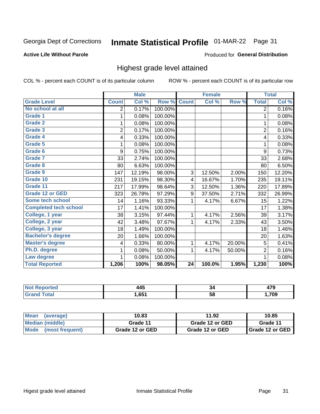## Inmate Statistical Profile 01-MAR-22 Page 31

#### **Active Life Without Parole**

#### Produced for General Distribution

### Highest grade level attained

COL % - percent each COUNT is of its particular column

|                              |                | <b>Male</b> |         |                 | <b>Female</b> |        |                | <b>Total</b> |
|------------------------------|----------------|-------------|---------|-----------------|---------------|--------|----------------|--------------|
| <b>Grade Level</b>           | <b>Count</b>   | Col %       | Row %   | <b>Count</b>    | Col %         | Row %  | <b>Total</b>   | Col %        |
| No school at all             | 2              | 0.17%       | 100.00% |                 |               |        | $\overline{2}$ | 0.16%        |
| <b>Grade 1</b>               | 1              | 0.08%       | 100.00% |                 |               |        | 1              | 0.08%        |
| <b>Grade 2</b>               | 1              | 0.08%       | 100.00% |                 |               |        | 1              | 0.08%        |
| <b>Grade 3</b>               | $\overline{2}$ | 0.17%       | 100.00% |                 |               |        | $\overline{2}$ | 0.16%        |
| <b>Grade 4</b>               | 4              | 0.33%       | 100.00% |                 |               |        | 4              | 0.33%        |
| Grade 5                      | 1              | 0.08%       | 100.00% |                 |               |        | 1              | 0.08%        |
| Grade 6                      | 9              | 0.75%       | 100.00% |                 |               |        | 9              | 0.73%        |
| Grade 7                      | 33             | 2.74%       | 100.00% |                 |               |        | 33             | 2.68%        |
| <b>Grade 8</b>               | 80             | 6.63%       | 100.00% |                 |               |        | 80             | 6.50%        |
| Grade 9                      | 147            | 12.19%      | 98.00%  | 3               | 12.50%        | 2.00%  | 150            | 12.20%       |
| Grade 10                     | 231            | 19.15%      | 98.30%  | 4               | 16.67%        | 1.70%  | 235            | 19.11%       |
| Grade 11                     | 217            | 17.99%      | 98.64%  | 3               | 12.50%        | 1.36%  | 220            | 17.89%       |
| <b>Grade 12 or GED</b>       | 323            | 26.78%      | 97.29%  | 9               | 37.50%        | 2.71%  | 332            | 26.99%       |
| Some tech school             | 14             | 1.16%       | 93.33%  | 1               | 4.17%         | 6.67%  | 15             | 1.22%        |
| <b>Completed tech school</b> | 17             | 1.41%       | 100.00% |                 |               |        | 17             | 1.38%        |
| College, 1 year              | 38             | 3.15%       | 97.44%  | 1               | 4.17%         | 2.56%  | 39             | 3.17%        |
| College, 2 year              | 42             | 3.48%       | 97.67%  | 1               | 4.17%         | 2.33%  | 43             | 3.50%        |
| College, 3 year              | 18             | 1.49%       | 100.00% |                 |               |        | 18             | 1.46%        |
| <b>Bachelor's degree</b>     | 20             | 1.66%       | 100.00% |                 |               |        | 20             | 1.63%        |
| <b>Master's degree</b>       | 4              | 0.33%       | 80.00%  | 1               | 4.17%         | 20.00% | 5              | 0.41%        |
| Ph.D. degree                 | 1              | 0.08%       | 50.00%  | 1               | 4.17%         | 50.00% | $\overline{2}$ | 0.16%        |
| Law degree                   | 1              | 0.08%       | 100.00% |                 |               |        | 1              | 0.08%        |
| <b>Total Reported</b>        | 1,206          | 100%        | 98.05%  | $\overline{24}$ | 100.0%        | 1.95%  | 1,230          | 100%         |

| rtea<br>NO | 1 <i>8</i> F              | ٥4 | ---  |
|------------|---------------------------|----|------|
| Utal       | C <sub>1</sub><br>ו כס. ו | 58 | ,709 |

| <b>Mean</b><br>(average) | 10.83           | 11.92           | 10.85             |  |  |
|--------------------------|-----------------|-----------------|-------------------|--|--|
| Median (middle)          | Grade 11        | Grade 12 or GED | Grade 11          |  |  |
| Mode (most frequent)     | Grade 12 or GED | Grade 12 or GED | I Grade 12 or GED |  |  |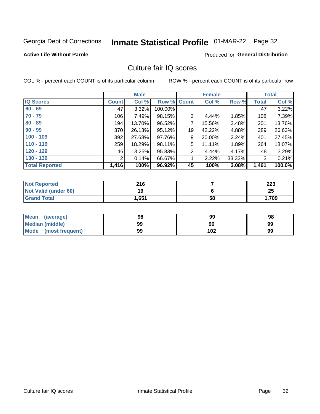## Inmate Statistical Profile 01-MAR-22 Page 32

#### **Active Life Without Parole**

### **Produced for General Distribution**

### Culture fair IQ scores

COL % - percent each COUNT is of its particular column

|                       | <b>Male</b>  |        | <b>Female</b> |                |        | <b>Total</b> |              |        |
|-----------------------|--------------|--------|---------------|----------------|--------|--------------|--------------|--------|
| <b>IQ Scores</b>      | <b>Count</b> | Col %  | Row % Count   |                | Col %  | Row %        | <b>Total</b> | Col %  |
| $60 - 69$             | 47           | 3.32%  | 100.00%       |                |        |              | 47           | 3.22%  |
| $70 - 79$             | 106          | 7.49%  | 98.15%        | $\overline{2}$ | 4.44%  | 1.85%        | 108          | 7.39%  |
| $80 - 89$             | 194          | 13.70% | 96.52%        | 7              | 15.56% | 3.48%        | 201          | 13.76% |
| $90 - 99$             | 370          | 26.13% | 95.12%        | 19             | 42.22% | 4.88%        | 389          | 26.63% |
| $100 - 109$           | 392          | 27.68% | 97.76%        | 9              | 20.00% | 2.24%        | 401          | 27.45% |
| $110 - 119$           | 259          | 18.29% | 98.11%        | 5              | 11.11% | 1.89%        | 264          | 18.07% |
| $120 - 129$           | 46           | 3.25%  | 95.83%        | 2              | 4.44%  | 4.17%        | 48           | 3.29%  |
| $130 - 139$           | 2            | 0.14%  | 66.67%        | 1              | 2.22%  | 33.33%       | 3            | 0.21%  |
| <b>Total Reported</b> | 1,416        | 100%   | 96.92%        | 45             | 100%   | 3.08%        | 1,461        | 100.0% |

| <b>Not Reported</b>  | 216   |    | 223   |
|----------------------|-------|----|-------|
| Not Valid (under 60) | 19    |    | 25    |
| <b>Grand Total</b>   | 1,651 | 58 | 1,709 |

| <b>Mean</b><br>(average) | 98 | 99  | 98 |
|--------------------------|----|-----|----|
| Median (middle)          | 99 | 96  | 99 |
| Mode (most frequent)     | 99 | 102 | 99 |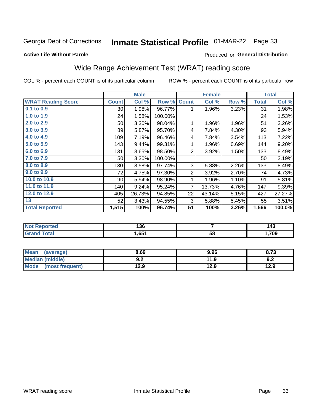## Inmate Statistical Profile 01-MAR-22 Page 33

#### **Active Life Without Parole**

### **Produced for General Distribution**

### Wide Range Achievement Test (WRAT) reading score

COL % - percent each COUNT is of its particular column

| <b>WRAT Reading Score</b> |                 |        |         |                | <b>Female</b> |       |              | <b>Total</b> |
|---------------------------|-----------------|--------|---------|----------------|---------------|-------|--------------|--------------|
|                           | <b>Count</b>    | Col %  | Row %   | <b>Count</b>   | Col %         | Row % | <b>Total</b> | Col %        |
| 0.1 to 0.9                | 30              | 1.98%  | 96.77%  | 1              | 1.96%         | 3.23% | 31           | 1.98%        |
| 1.0 to 1.9                | 24              | 1.58%  | 100.00% |                |               |       | 24           | 1.53%        |
| 2.0 to 2.9                | 50              | 3.30%  | 98.04%  | 1              | 1.96%         | 1.96% | 51           | 3.26%        |
| 3.0 to 3.9                | 89              | 5.87%  | 95.70%  | 4              | 7.84%         | 4.30% | 93           | 5.94%        |
| 4.0 to 4.9                | 109             | 7.19%  | 96.46%  | 4              | 7.84%         | 3.54% | 113          | 7.22%        |
| 5.0 to 5.9                | 143             | 9.44%  | 99.31%  | 1              | 1.96%         | 0.69% | 144          | 9.20%        |
| 6.0 to 6.9                | 131             | 8.65%  | 98.50%  | $\overline{2}$ | 3.92%         | 1.50% | 133          | 8.49%        |
| 7.0 to 7.9                | 50              | 3.30%  | 100.00% |                |               |       | 50           | 3.19%        |
| 8.0 to 8.9                | 130             | 8.58%  | 97.74%  | 3              | 5.88%         | 2.26% | 133          | 8.49%        |
| 9.0 to 9.9                | 72              | 4.75%  | 97.30%  | $\overline{2}$ | 3.92%         | 2.70% | 74           | 4.73%        |
| 10.0 to 10.9              | 90 <sup>°</sup> | 5.94%  | 98.90%  | 1              | 1.96%         | 1.10% | 91           | 5.81%        |
| 11.0 to 11.9              | 140             | 9.24%  | 95.24%  | 7              | 13.73%        | 4.76% | 147          | 9.39%        |
| 12.0 to 12.9              | 405             | 26.73% | 94.85%  | 22             | 43.14%        | 5.15% | 427          | 27.27%       |
| 13                        | 52              | 3.43%  | 94.55%  | 3              | 5.88%         | 5.45% | 55           | 3.51%        |
| <b>Total Reported</b>     | 1,515           | 100%   | 96.74%  | 51             | 100%          | 3.26% | 1,566        | 100.0%       |

| <b>Not Reported</b>   | 136   |    | 143  |
|-----------------------|-------|----|------|
| <b>Total</b><br>Grand | 651.ا | 58 | ,709 |

| Mean (average)       | 8.69       | 9.96 | 8.73 |
|----------------------|------------|------|------|
| Median (middle)      | י ה<br>Y.Z | 11.9 | 9.2  |
| Mode (most frequent) | 12.9       | 12.9 | 12.9 |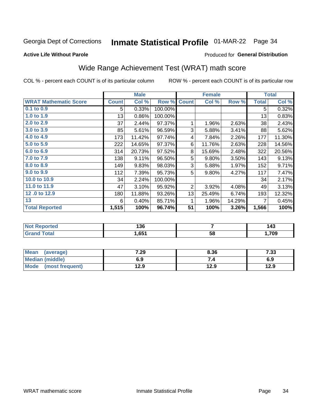## Inmate Statistical Profile 01-MAR-22 Page 34

Produced for General Distribution

### **Active Life Without Parole**

### Wide Range Achievement Test (WRAT) math score

COL % - percent each COUNT is of its particular column

|                              |              | <b>Male</b> |         |                | <b>Female</b> |        |              | <b>Total</b> |
|------------------------------|--------------|-------------|---------|----------------|---------------|--------|--------------|--------------|
| <b>WRAT Mathematic Score</b> | <b>Count</b> | Col %       | Row %   | <b>Count</b>   | Col %         | Row %  | <b>Total</b> | Col %        |
| $0.1$ to $0.9$               | 5            | 0.33%       | 100.00% |                |               |        | 5            | 0.32%        |
| 1.0 to 1.9                   | 13           | 0.86%       | 100.00% |                |               |        | 13           | 0.83%        |
| 2.0 to 2.9                   | 37           | 2.44%       | 97.37%  | 1              | 1.96%         | 2.63%  | 38           | 2.43%        |
| 3.0 to 3.9                   | 85           | 5.61%       | 96.59%  | 3              | 5.88%         | 3.41%  | 88           | 5.62%        |
| 4.0 to 4.9                   | 173          | 11.42%      | 97.74%  | 4              | 7.84%         | 2.26%  | 177          | 11.30%       |
| 5.0 to 5.9                   | 222          | 14.65%      | 97.37%  | 6              | 11.76%        | 2.63%  | 228          | 14.56%       |
| 6.0 to 6.9                   | 314          | 20.73%      | 97.52%  | 8              | 15.69%        | 2.48%  | 322          | 20.56%       |
| 7.0 to 7.9                   | 138          | 9.11%       | 96.50%  | 5              | 9.80%         | 3.50%  | 143          | 9.13%        |
| 8.0 to 8.9                   | 149          | 9.83%       | 98.03%  | 3              | 5.88%         | 1.97%  | 152          | 9.71%        |
| 9.0 to 9.9                   | 112          | 7.39%       | 95.73%  | 5              | 9.80%         | 4.27%  | 117          | 7.47%        |
| 10.0 to 10.9                 | 34           | 2.24%       | 100.00% |                |               |        | 34           | 2.17%        |
| 11.0 to 11.9                 | 47           | 3.10%       | 95.92%  | $\overline{2}$ | 3.92%         | 4.08%  | 49           | 3.13%        |
| 12.0 to 12.9                 | 180          | 11.88%      | 93.26%  | 13             | 25.49%        | 6.74%  | 193          | 12.32%       |
| 13                           | 6            | 0.40%       | 85.71%  | 1              | 1.96%         | 14.29% | 7            | 0.45%        |
| <b>Total Reported</b>        | 1,515        | 100%        | 96.74%  | 51             | 100%          | 3.26%  | 1,566        | 100%         |
|                              |              |             |         |                |               |        |              |              |

| <b>Not Reported</b>   | 136   |    | 143  |
|-----------------------|-------|----|------|
| <b>Total</b><br>Grand | 651.ا | 58 | ,709 |

| Mean (average)       | 7.29 | 8.36 | 7.33 |
|----------------------|------|------|------|
| Median (middle)      | 6.9  | 7.4  | 6.9  |
| Mode (most frequent) | 12.9 | 12.9 | 12.9 |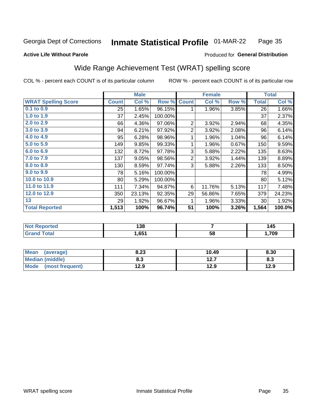#### Inmate Statistical Profile 01-MAR-22 Page 35

#### **Active Life Without Parole**

#### Produced for General Distribution

### Wide Range Achievement Test (WRAT) spelling score

COL % - percent each COUNT is of its particular column

|                            |              | <b>Male</b>               |         |                 | <b>Female</b>  |       |              | <b>Total</b>         |  |
|----------------------------|--------------|---------------------------|---------|-----------------|----------------|-------|--------------|----------------------|--|
| <b>WRAT Spelling Score</b> | <b>Count</b> | $\overline{\text{Col}}$ % | Row %   | <b>Count</b>    | Col %          | Row % | <b>Total</b> | Col %                |  |
| 0.1 to 0.9                 | 25           | 1.65%                     | 96.15%  | 1               | 1.96%          | 3.85% | 26           | 1.66%                |  |
| 1.0 to 1.9                 | 37           | 2.45%                     | 100.00% |                 |                |       | 37           | 2.37%                |  |
| 2.0 to 2.9                 | 66           | 4.36%                     | 97.06%  | $\overline{2}$  | 3.92%          | 2.94% | 68           | 4.35%                |  |
| 3.0 to 3.9                 | 94           | 6.21%                     | 97.92%  | $\overline{c}$  | 3.92%          | 2.08% | 96           | 6.14%                |  |
| 4.0 to 4.9                 | 95           | 6.28%                     | 98.96%  | 1               | 1.96%          | 1.04% | 96           | 6.14%                |  |
| 5.0 t <sub>0</sub> 5.9     | 149          | 9.85%                     | 99.33%  | 1               | 1.96%          | 0.67% | 150          | 9.59%                |  |
| 6.0 to 6.9                 | 132          | 8.72%                     | 97.78%  | 3               | 5.88%          | 2.22% | 135          | 8.63%                |  |
| 7.0 to 7.9                 | 137          | 9.05%                     | 98.56%  | 2               | 3.92%          | 1.44% | 139          | 8.89%                |  |
| 8.0 to 8.9                 | 130          | 8.59%                     | 97.74%  | 3               | 5.88%          | 2.26% | 133          | 8.50%                |  |
| 9.0 to 9.9                 | 78           | 5.16%                     | 100.00% |                 |                |       | 78           | 4.99%                |  |
| 10.0 to 10.9               | 80           | 5.29%                     | 100.00% |                 |                |       | 80           | 5.12%                |  |
| 11.0 to 11.9               | 111          | 7.34%                     | 94.87%  | 6               | 11.76%         | 5.13% | 117          | 7.48%                |  |
| 12.0 to 12.9               | 350          | 23.13%                    | 92.35%  | 29              | 56.86%         | 7.65% | 379          | 24.23%               |  |
| 13                         | 29           | 1.92%                     | 96.67%  | 1               | 1.96%          | 3.33% | 30           | 1.92%                |  |
| <b>Total Reported</b>      | 1,513        | 100%                      | 96.74%  | $\overline{51}$ | 100%           | 3.26% | 1,564        | $\overline{100.0\%}$ |  |
|                            |              |                           |         |                 |                |       |              |                      |  |
| <b>Not Reported</b>        |              | 138                       |         |                 | $\overline{7}$ |       | 145          |                      |  |
| <b>Grand Total</b>         |              | 1,651                     |         |                 | 58             |       |              | 1,709                |  |

| <b>Mean</b><br>(average)       | 8.23       | 10.49         | 8.30 |
|--------------------------------|------------|---------------|------|
| Median (middle)                | פ ס<br>ი.ა | 12.7<br>I 4.I | ი.ა  |
| <b>Mode</b><br>(most frequent) | 12.9       | 12.9          | 12.9 |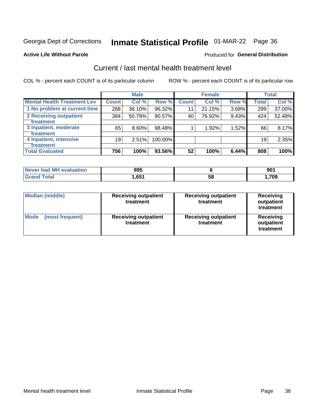## Inmate Statistical Profile 01-MAR-22 Page 36

#### **Active Life Without Parole**

### **Produced for General Distribution**

### Current / last mental health treatment level

COL % - percent each COUNT is of its particular column

|                                    |              | <b>Male</b> |         |              | <b>Female</b> |       |              | <b>Total</b> |
|------------------------------------|--------------|-------------|---------|--------------|---------------|-------|--------------|--------------|
| <b>Mental Health Treatment Lev</b> | <b>Count</b> | Col %       | Row %   | <b>Count</b> | Col %         | Row % | <b>Total</b> | Col %        |
| 1 No problem at current time       | 288          | 38.10%      | 96.32%  | 11           | 21.15%        | 3.68% | 299          | 37.00%       |
| 2 Receiving outpatient             | 384          | 50.79%      | 90.57%  | 40           | 76.92%        | 9.43% | 424          | 52.48%       |
| <b>Treatment</b>                   |              |             |         |              |               |       |              |              |
| 3 Inpatient, moderate              | 65           | 8.60%       | 98.48%  |              | 1.92%         | 1.52% | 66           | 8.17%        |
| <b>Treatment</b>                   |              |             |         |              |               |       |              |              |
| 4 Inpatient, intensive             | 19           | 2.51%       | 100.00% |              |               |       | 19           | 2.35%        |
| Treatment                          |              |             |         |              |               |       |              |              |
| <b>Total Evaluated</b>             | 756          | 100%        | 93.56%  | 52           | 100%          | 6.44% | 808          | 100%         |

| Never had MH evaluation | 895    |    | 90 <sub>1</sub> |
|-------------------------|--------|----|-----------------|
| Total                   | 1.65′، | 58 | .709            |

| <b>Median (middle)</b>         | <b>Receiving outpatient</b><br>treatment | <b>Receiving outpatient</b><br>treatment | <b>Receiving</b><br>outpatient<br>treatment |  |
|--------------------------------|------------------------------------------|------------------------------------------|---------------------------------------------|--|
| <b>Mode</b><br>(most frequent) | <b>Receiving outpatient</b><br>treatment | <b>Receiving outpatient</b><br>treatment | <b>Receiving</b><br>outpatient<br>treatment |  |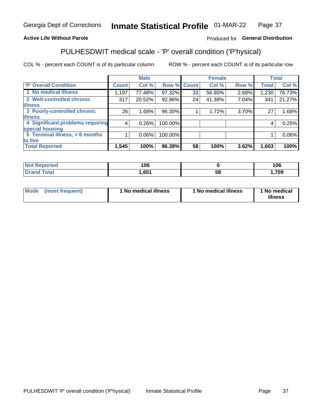#### Inmate Statistical Profile 01-MAR-22 Page 37

### **Active Life Without Parole**

### Produced for General Distribution

### PULHESDWIT medical scale - 'P' overall condition ('P'hysical)

COL % - percent each COUNT is of its particular column

|                                  |         | <b>Male</b> |             |    | <b>Female</b> |       |              | <b>Total</b> |
|----------------------------------|---------|-------------|-------------|----|---------------|-------|--------------|--------------|
| 'P' Overall Condition            | Count l | Col %       | Row % Count |    | Col %         | Row % | <b>Total</b> | Col %        |
| 1 No medical illness             | 1,197   | 77.48%      | 97.32%      | 33 | 56.90%        | 2.68% | 1,230        | 76.73%       |
| 2 Well-controlled chronic        | 317     | 20.52%      | 92.96%      | 24 | 41.38%        | 7.04% | 341          | 21.27%       |
| <b>illness</b>                   |         |             |             |    |               |       |              |              |
| 3 Poorly-controlled chronic      | 26      | 1.68%       | 96.30%      |    | 1.72%         | 3.70% | 27           | 1.68%        |
| <b>illness</b>                   |         |             |             |    |               |       |              |              |
| 4 Significant problems requiring | 4       | 0.26%       | 100.00%     |    |               |       | 4            | 0.25%        |
| special housing                  |         |             |             |    |               |       |              |              |
| 5 Terminal illness, < 6 months   |         | $0.06\%$    | 100.00%     |    |               |       |              | 0.06%        |
| to live                          |         |             |             |    |               |       |              |              |
| <b>Total Reported</b>            | 1,545   | 100%        | 96.38%      | 58 | 100%          | 3.62% | 1,603        | 100%         |

| тео | 106  |    | 106       |
|-----|------|----|-----------|
|     | ,651 | ວດ | 700<br>υJ |

|  |  | Mode (most frequent) | 1 No medical illness | 1 No medical illness | 1 No medical<br>illness |
|--|--|----------------------|----------------------|----------------------|-------------------------|
|--|--|----------------------|----------------------|----------------------|-------------------------|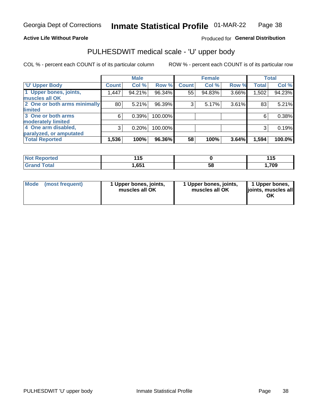### **Active Life Without Parole**

### Produced for General Distribution

## PULHESDWIT medical scale - 'U' upper body

COL % - percent each COUNT is of its particular column

|                              |              | <b>Male</b> |         |              | <b>Female</b> |       |              | <b>Total</b> |
|------------------------------|--------------|-------------|---------|--------------|---------------|-------|--------------|--------------|
| <b>U' Upper Body</b>         | <b>Count</b> | Col %       | Row %   | <b>Count</b> | Col %         | Row % | <b>Total</b> | Col %        |
| 1 Upper bones, joints,       | 1,447        | 94.21%      | 96.34%  | 55'          | 94.83%        | 3.66% | 1,502        | 94.23%       |
| muscles all OK               |              |             |         |              |               |       |              |              |
| 2 One or both arms minimally | 80           | 5.21%       | 96.39%  | 3            | 5.17%         | 3.61% | 83           | 5.21%        |
| limited                      |              |             |         |              |               |       |              |              |
| 3 One or both arms           | 6            | 0.39%       | 100.00% |              |               |       | 6            | 0.38%        |
| <b>moderately limited</b>    |              |             |         |              |               |       |              |              |
| 4 One arm disabled,          | 3            | 0.20%       | 100.00% |              |               |       | 3            | 0.19%        |
| paralyzed, or amputated      |              |             |         |              |               |       |              |              |
| <b>Total Reported</b>        | 1,536        | 100%        | 96.36%  | 58           | 100%          | 3.64% | 1,594        | 100.0%       |

| <b>Not Reported</b> | .<br>. . U |    | 44F<br>. |
|---------------------|------------|----|----------|
| <b>Total</b>        | ,651       | 58 | ,709     |

| <b>Mode</b> | (most frequent) | 1 Upper bones, joints,<br>muscles all OK | 1 Upper bones, joints,<br>muscles all OK | 1 Upper bones,<br>ljoints, muscles all<br>ОK |
|-------------|-----------------|------------------------------------------|------------------------------------------|----------------------------------------------|
|-------------|-----------------|------------------------------------------|------------------------------------------|----------------------------------------------|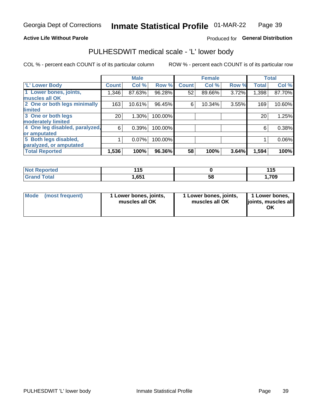### **Active Life Without Parole**

#### Produced for General Distribution

### PULHESDWIT medical scale - 'L' lower body

COL % - percent each COUNT is of its particular column

|                                |              | <b>Male</b> |         |              | <b>Female</b> |       |              | <b>Total</b> |
|--------------------------------|--------------|-------------|---------|--------------|---------------|-------|--------------|--------------|
| 'L' Lower Body                 | <b>Count</b> | Col %       | Row %   | <b>Count</b> | Col %         | Row % | <b>Total</b> | Col %        |
| 1 Lower bones, joints,         | 1,346        | 87.63%      | 96.28%  | 52           | 89.66%        | 3.72% | 1,398        | 87.70%       |
| muscles all OK                 |              |             |         |              |               |       |              |              |
| 2 One or both legs minimally   | 163          | 10.61%      | 96.45%  | 6            | 10.34%        | 3.55% | 169          | 10.60%       |
| limited                        |              |             |         |              |               |       |              |              |
| 3 One or both legs             | 20           | 1.30%       | 100.00% |              |               |       | 20           | 1.25%        |
| moderately limited             |              |             |         |              |               |       |              |              |
| 4 One leg disabled, paralyzed, | 6            | 0.39%       | 100.00% |              |               |       | 6            | 0.38%        |
| or amputated                   |              |             |         |              |               |       |              |              |
| 5 Both legs disabled,          |              | 0.07%       | 100.00% |              |               |       |              | 0.06%        |
| paralyzed, or amputated        |              |             |         |              |               |       |              |              |
| <b>Total Reported</b>          | 1,536        | 100%        | 96.36%  | 58           | 100%          | 3.64% | 1,594        | 100%         |

| <b>Not Reported</b> | 4 F<br>. . |    | . .<br>. |
|---------------------|------------|----|----------|
| <b>Grand Total</b>  | 651,ا      | วง | ,709     |

| Mode (most frequent) | I Lower bones, joints,<br>muscles all OK | 1 Lower bones, joints,<br>muscles all OK | 1 Lower bones,<br>joints, muscles all<br>ΟK |
|----------------------|------------------------------------------|------------------------------------------|---------------------------------------------|
|----------------------|------------------------------------------|------------------------------------------|---------------------------------------------|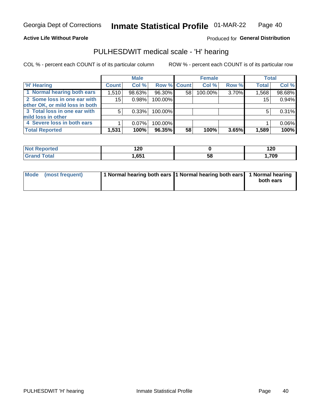### **Active Life Without Parole**

**Produced for General Distribution** 

### PULHESDWIT medical scale - 'H' hearing

COL % - percent each COUNT is of its particular column

|                                | <b>Male</b>  |          | <b>Female</b>      |    |         | <b>Total</b> |              |        |
|--------------------------------|--------------|----------|--------------------|----|---------|--------------|--------------|--------|
| <b>H' Hearing</b>              | <b>Count</b> | Col %    | <b>Row % Count</b> |    | Col %   | Row %        | <b>Total</b> | Col %  |
| 1 Normal hearing both ears     | 1,510        | 98.63%   | 96.30%             | 58 | 100.00% | 3.70%        | 1,568        | 98.68% |
| 2 Some loss in one ear with    | 15           | 0.98%    | 100.00%            |    |         |              | 15           | 0.94%  |
| other OK, or mild loss in both |              |          |                    |    |         |              |              |        |
| 3 Total loss in one ear with   | 5            | 0.33%    | 100.00%            |    |         |              | 5            | 0.31%  |
| mild loss in other             |              |          |                    |    |         |              |              |        |
| 4 Severe loss in both ears     |              | $0.07\%$ | 100.00%            |    |         |              |              | 0.06%  |
| <b>Total Reported</b>          | 1,531        | 100%     | 96.35%             | 58 | 100%    | 3.65%        | 1,589        | 100%   |

| ported     | 120  |    | 1 אר  |
|------------|------|----|-------|
| <b>NOT</b> | $ -$ |    | 14V   |
| 'otal      | CE4  | აა | 1,709 |

| Mode (most frequent) | 1 Normal hearing both ears 1 Normal hearing both ears 1 Normal hearing | both ears |
|----------------------|------------------------------------------------------------------------|-----------|
|                      |                                                                        |           |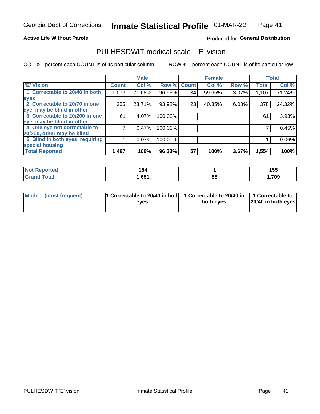### **Active Life Without Parole**

### Produced for General Distribution

### PULHESDWIT medical scale - 'E' vision

COL % - percent each COUNT is of its particular column

|                                 |              | <b>Male</b> |             |    | <b>Female</b> |       |              | <b>Total</b> |
|---------------------------------|--------------|-------------|-------------|----|---------------|-------|--------------|--------------|
| <b>E' Vision</b>                | <b>Count</b> | Col %       | Row % Count |    | Col %         | Row % | <b>Total</b> | Col %        |
| 1 Correctable to 20/40 in both  | 1,073        | 71.68%      | 96.93%      | 34 | 59.65%        | 3.07% | 1,107        | 71.24%       |
| eyes                            |              |             |             |    |               |       |              |              |
| 2 Correctable to 20/70 in one   | 355          | 23.71%      | 93.92%      | 23 | 40.35%        | 6.08% | 378          | 24.32%       |
| eye, may be blind in other      |              |             |             |    |               |       |              |              |
| 3 Correctable to 20/200 in one  | 61           | 4.07%       | 100.00%     |    |               |       | 61           | 3.93%        |
| eye, may be blind in other      |              |             |             |    |               |       |              |              |
| 4 One eye not correctable to    |              | 0.47%       | 100.00%     |    |               |       |              | 0.45%        |
| 20/200, other may be blind      |              |             |             |    |               |       |              |              |
| 5 Blind in both eyes, requiring |              | 0.07%       | 100.00%     |    |               |       |              | 0.06%        |
| special housing                 |              |             |             |    |               |       |              |              |
| <b>Total Reported</b>           | 1,497        | 100%        | 96.33%      | 57 | 100%          | 3.67% | 1,554        | 100%         |

| <b>orted</b><br>NOT                         | 154  |    | 155  |
|---------------------------------------------|------|----|------|
| $\mathop{{\tt \bar c}}$ otal $\blacksquare$ | ,651 | 58 | ,709 |

| Mode (most frequent) | 1 Correctable to 20/40 in both<br>eves | 1 Correctable to 20/40 in   1 Correctable to  <br>both eyes | 20/40 in both eyes |
|----------------------|----------------------------------------|-------------------------------------------------------------|--------------------|
|                      |                                        |                                                             |                    |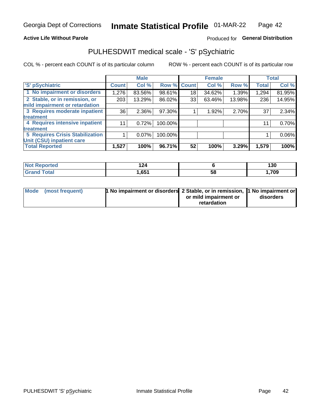### **Active Life Without Parole**

### Produced for General Distribution

### PULHESDWIT medical scale - 'S' pSychiatric

COL % - percent each COUNT is of its particular column

|                                        |              | <b>Male</b> |         |                    | <b>Female</b> |        |              | <b>Total</b> |
|----------------------------------------|--------------|-------------|---------|--------------------|---------------|--------|--------------|--------------|
| 'S' pSychiatric                        | <b>Count</b> | Col %       |         | <b>Row % Count</b> | Col %         | Row %  | <b>Total</b> | Col %        |
| 1 No impairment or disorders           | 1,276        | 83.56%      | 98.61%  | 18                 | 34.62%        | 1.39%  | 1,294        | 81.95%       |
| 2 Stable, or in remission, or          | 203          | 13.29%      | 86.02%  | 33                 | 63.46%        | 13.98% | 236          | 14.95%       |
| mild impairment or retardation         |              |             |         |                    |               |        |              |              |
| 3 Requires moderate inpatient          | 36           | $2.36\%$    | 97.30%  |                    | 1.92%         | 2.70%  | 37           | 2.34%        |
| treatment                              |              |             |         |                    |               |        |              |              |
| 4 Requires intensive inpatient         | 11           | 0.72%       | 100.00% |                    |               |        | 11           | 0.70%        |
| treatment                              |              |             |         |                    |               |        |              |              |
| <b>5 Requires Crisis Stabilization</b> |              | $0.07\%$    | 100.00% |                    |               |        |              | 0.06%        |
| Unit (CSU) inpatient care              |              |             |         |                    |               |        |              |              |
| <b>Total Reported</b>                  | 1,527        | 100%        | 96.71%  | 52                 | 100%          | 3.29%  | 1,579        | 100%         |

| <b>Not Reported</b>  | `^^<br>. |    | 130  |
|----------------------|----------|----|------|
| Total<br><b>Gran</b> | 651,ا    | ჂႦ | ,709 |

| Mode (most frequent) | 1 No impairment or disorders 2 Stable, or in remission, 11 No impairment or |                       |           |
|----------------------|-----------------------------------------------------------------------------|-----------------------|-----------|
|                      |                                                                             | or mild impairment or | disorders |
|                      |                                                                             | retardation           |           |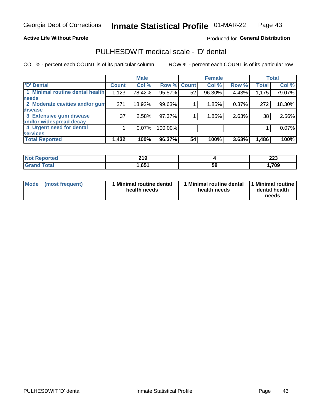### **Active Life Without Parole**

### Produced for General Distribution

### PULHESDWIT medical scale - 'D' dental

COL % - percent each COUNT is of its particular column

|                                 |              | <b>Male</b> |         |             | <b>Female</b> |       |              | <b>Total</b> |
|---------------------------------|--------------|-------------|---------|-------------|---------------|-------|--------------|--------------|
| <b>D'</b> Dental                | <b>Count</b> | Col %       |         | Row % Count | Col %         | Row % | <b>Total</b> | Col %        |
| 1 Minimal routine dental health | 1,123        | 78.42%      | 95.57%  | 52          | 96.30%        | 4.43% | 1,175        | 79.07%       |
| <b>needs</b>                    |              |             |         |             |               |       |              |              |
| 2 Moderate cavities and/or gum  | 271          | 18.92%      | 99.63%  |             | 1.85%         | 0.37% | 272          | 18.30%       |
| disease                         |              |             |         |             |               |       |              |              |
| 3 Extensive gum disease         | 37           | 2.58%       | 97.37%  |             | 1.85%         | 2.63% | 38           | 2.56%        |
| and/or widespread decay         |              |             |         |             |               |       |              |              |
| 4 Urgent need for dental        |              | $0.07\%$    | 100.00% |             |               |       |              | 0.07%        |
| <b>services</b>                 |              |             |         |             |               |       |              |              |
| <b>Total Reported</b>           | 1,432        | 100%        | 96.37%  | 54          | 100%          | 3.63% | 1,486        | 100%         |

| <b>Ported</b><br><b>NOT REDO</b><br>. | <b>210</b><br>2 I J |    | nne<br>ZZJ |
|---------------------------------------|---------------------|----|------------|
| Total                                 | ,651                | 58 | ,709       |

| <b>Mode</b> | (most frequent) | <b>Minimal routine dental</b><br>health needs | 1 Minimal routine dental<br>health needs | <b>11 Minimal routine I</b><br>dental health<br>needs |
|-------------|-----------------|-----------------------------------------------|------------------------------------------|-------------------------------------------------------|
|-------------|-----------------|-----------------------------------------------|------------------------------------------|-------------------------------------------------------|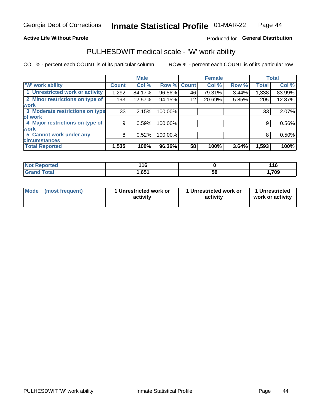### **Active Life Without Parole**

### Produced for General Distribution

### PULHESDWIT medical scale - 'W' work ability

COL % - percent each COUNT is of its particular column

|                                 |              | <b>Male</b> |         |             | <b>Female</b> |       |              | <b>Total</b> |
|---------------------------------|--------------|-------------|---------|-------------|---------------|-------|--------------|--------------|
| <b>W' work ability</b>          | <b>Count</b> | Col %       |         | Row % Count | Col %         | Row % | <b>Total</b> | Col %        |
| 1 Unrestricted work or activity | 1,292        | 84.17%      | 96.56%  | 46          | 79.31%        | 3.44% | 1,338        | 83.99%       |
| 2 Minor restrictions on type of | 193          | 12.57%      | 94.15%  | 12          | 20.69%        | 5.85% | 205          | 12.87%       |
| <b>work</b>                     |              |             |         |             |               |       |              |              |
| 3 Moderate restrictions on type | 33           | 2.15%       | 100.00% |             |               |       | 33           | 2.07%        |
| lof work                        |              |             |         |             |               |       |              |              |
| 4 Major restrictions on type of | 9            | 0.59%       | 100.00% |             |               |       | 9            | 0.56%        |
| <b>work</b>                     |              |             |         |             |               |       |              |              |
| 5 Cannot work under any         | 8            | 0.52%       | 100.00% |             |               |       | 8            | 0.50%        |
| <b>circumstances</b>            |              |             |         |             |               |       |              |              |
| <b>Total Reported</b>           | 1,535        | 100%        | 96.36%  | 58          | 100%          | 3.64% | 1,593        | 100%         |

| <b>Not Reported</b>   | 11C  |    | 44C<br>1 v |
|-----------------------|------|----|------------|
| <b>Total</b><br>Grand | .651 | 58 | 709,،      |

| <b>Mode</b> | (most frequent) | 1 Unrestricted work or<br>activity | 1 Unrestricted work or<br>activity | 1 Unrestricted<br>work or activity |
|-------------|-----------------|------------------------------------|------------------------------------|------------------------------------|
|-------------|-----------------|------------------------------------|------------------------------------|------------------------------------|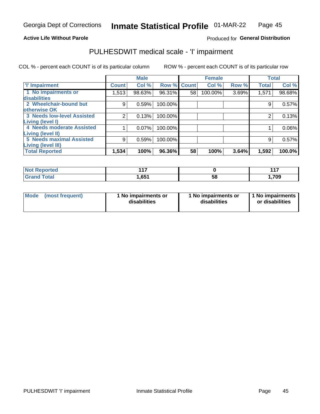#### **Active Life Without Parole**

### Produced for General Distribution

### PULHESDWIT medical scale - 'I' impairment

|                                   |              | <b>Male</b> |             |    | <b>Female</b> |       |              | <b>Total</b> |
|-----------------------------------|--------------|-------------|-------------|----|---------------|-------|--------------|--------------|
| <b>T' Impairment</b>              | <b>Count</b> | Col %       | Row % Count |    | Col %         | Row % | <b>Total</b> | Col %        |
| 1 No impairments or               | 1,513        | 98.63%      | 96.31%      | 58 | 100.00%       | 3.69% | 1,571        | 98.68%       |
| disabilities                      |              |             |             |    |               |       |              |              |
| 2 Wheelchair-bound but            | 9            | 0.59%       | 100.00%     |    |               |       | 9            | 0.57%        |
| otherwise OK                      |              |             |             |    |               |       |              |              |
| <b>3 Needs low-level Assisted</b> | 2            | 0.13%       | 100.00%     |    |               |       | 2            | 0.13%        |
| Living (level I)                  |              |             |             |    |               |       |              |              |
| 4 Needs moderate Assisted         |              | 0.07%       | 100.00%     |    |               |       |              | 0.06%        |
| Living (level II)                 |              |             |             |    |               |       |              |              |
| <b>5 Needs maximal Assisted</b>   | 9            | 0.59%       | 100.00%     |    |               |       | 9            | 0.57%        |
| <b>Living (level III)</b>         |              |             |             |    |               |       |              |              |
| <b>Total Reported</b>             | 1,534        | 100%        | 96.36%      | 58 | 100%          | 3.64% | 1,592        | 100.0%       |

| Reported     | 4.47  |    | 447<br>. |
|--------------|-------|----|----------|
| <b>Total</b> | 651.ا | 58 | ,709     |

| Mode | (most frequent) | 1 No impairments or<br>disabilities | 1 No impairments or<br>disabilities | 1 No impairments<br>or disabilities |
|------|-----------------|-------------------------------------|-------------------------------------|-------------------------------------|
|------|-----------------|-------------------------------------|-------------------------------------|-------------------------------------|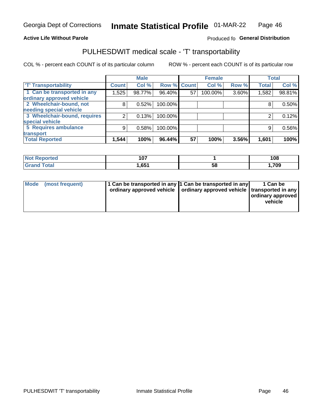#### **Active Life Without Parole**

### Produced fo General Distribution

### PULHESDWIT medical scale - 'T' transportability

COL % - percent each COUNT is of its particular column

|                              |              | <b>Male</b> |         |                    | <b>Female</b> |       |              | <b>Total</b> |
|------------------------------|--------------|-------------|---------|--------------------|---------------|-------|--------------|--------------|
| <b>T' Transportability</b>   | <b>Count</b> | Col %       |         | <b>Row % Count</b> | Col %         | Row % | <b>Total</b> | Col %        |
| 1 Can be transported in any  | 1,525        | 98.77%      | 96.40%  | 57                 | 100.00%       | 3.60% | 1,582        | 98.81%       |
| ordinary approved vehicle    |              |             |         |                    |               |       |              |              |
| 2 Wheelchair-bound, not      | 8            | 0.52%       | 100.00% |                    |               |       |              | 0.50%        |
| needing special vehicle      |              |             |         |                    |               |       |              |              |
| 3 Wheelchair-bound, requires | 2            | 0.13%       | 100.00% |                    |               |       |              | 0.12%        |
| special vehicle              |              |             |         |                    |               |       |              |              |
| 5 Requires ambulance         | 9            | 0.58%       | 100.00% |                    |               |       | 9            | 0.56%        |
| transport                    |              |             |         |                    |               |       |              |              |
| <b>Total Reported</b>        | 1,544        | 100%        | 96.44%  | 57                 | 100%          | 3.56% | 1,601        | 100%         |

| orted        | $10-1$<br>י שי |    | 108  |
|--------------|----------------|----|------|
| <b>Total</b> | 1,65∖          | 58 | 709، |

| <b>Mode</b> | (most frequent) | 1 Can be transported in any 1 Can be transported in any | ordinary approved vehicle   ordinary approved vehicle   transported in any | 1 Can be<br>  ordinary approved  <br>vehicle |
|-------------|-----------------|---------------------------------------------------------|----------------------------------------------------------------------------|----------------------------------------------|
|-------------|-----------------|---------------------------------------------------------|----------------------------------------------------------------------------|----------------------------------------------|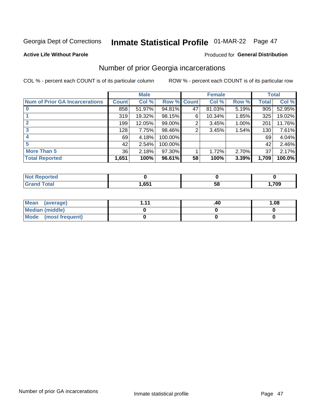## Inmate Statistical Profile 01-MAR-22 Page 47

#### **Active Life Without Parole**

### **Produced for General Distribution**

### Number of prior Georgia incarcerations

COL % - percent each COUNT is of its particular column

|                                       |              | <b>Male</b> |                    |    | <b>Female</b> |       |       | <b>Total</b> |
|---------------------------------------|--------------|-------------|--------------------|----|---------------|-------|-------|--------------|
| <b>Num of Prior GA Incarcerations</b> | <b>Count</b> | Col %       | <b>Row % Count</b> |    | Col %         | Row % | Total | Col %        |
|                                       | 858          | 51.97%      | 94.81%             | 47 | 81.03%        | 5.19% | 905   | 52.95%       |
|                                       | 319          | 19.32%      | 98.15%             | 6  | 10.34%        | 1.85% | 325   | 19.02%       |
|                                       | 199          | 12.05%      | 99.00%             | 2  | 3.45%         | 1.00% | 201   | 11.76%       |
| 3                                     | 128          | 7.75%       | 98.46%             | 2  | 3.45%         | 1.54% | 130   | 7.61%        |
| 4                                     | 69           | 4.18%       | 100.00%            |    |               |       | 69    | 4.04%        |
| 5                                     | 42           | 2.54%       | 100.00%            |    |               |       | 42    | 2.46%        |
| <b>More Than 5</b>                    | 36           | 2.18%       | 97.30%             |    | 1.72%         | 2.70% | 37    | 2.17%        |
| <b>Total Reported</b>                 | 1,651        | 100%        | 96.61%             | 58 | 100%          | 3.39% | 1,709 | 100.0%       |

| ported<br><b>NOT</b> |                |    |      |
|----------------------|----------------|----|------|
| <b>otal</b>          | CE4<br>ו כס, ו | ာင | ,709 |

| Mean (average)       | 444 | .40 | 1.08 |
|----------------------|-----|-----|------|
| Median (middle)      |     |     |      |
| Mode (most frequent) |     |     |      |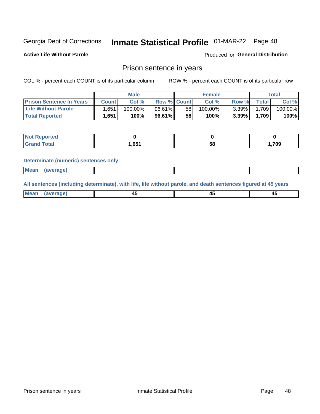### Inmate Statistical Profile 01-MAR-22 Page 48

**Active Life Without Parole** 

**Produced for General Distribution** 

### Prison sentence in years

COL % - percent each COUNT is of its particular column

ROW % - percent each COUNT is of its particular row

|                                 | <b>Male</b>  |            |                    | <b>Female</b> |            |          | $\tau$ otal |         |
|---------------------------------|--------------|------------|--------------------|---------------|------------|----------|-------------|---------|
| <b>Prison Sentence In Years</b> | <b>Count</b> | Col %      | <b>Row % Count</b> |               | Col %      | Row %    | Total       | Col %   |
| <b>Life Without Parole</b>      | .651         | $100.00\%$ | 96.61%             | 58            | $100.00\%$ | $3.39\%$ | 1,709       | 100.00% |
| <b>Total Reported</b>           | 1,651        | 100%       | 96.61%             | 58            | 100%       | 3.39%    | 1,709       | 100%    |

| Reported |       |    |      |
|----------|-------|----|------|
| Total    | 651.، | 58 | 709, |

#### **Determinate (numeric) sentences only**

| <b>Mean</b><br>(average)<br> |  |  |
|------------------------------|--|--|
|------------------------------|--|--|

All sentences (including determinate), with life, life without parole, and death sentences figured at 45 years

| Me<br>.<br> | -- | -- |  |
|-------------|----|----|--|
|             |    |    |  |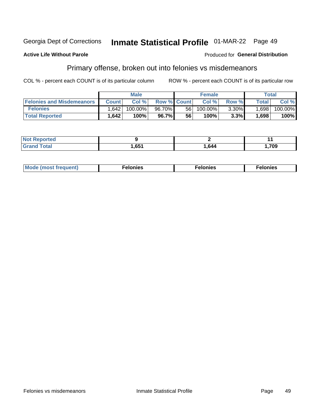#### Georgia Dept of Corrections Inmate Statistical Profile 01-MAR-22 Page 49

#### **Active Life Without Parole**

#### Produced for General Distribution

### Primary offense, broken out into felonies vs misdemeanors

COL % - percent each COUNT is of its particular column

|                                  | <b>Male</b>  |         |                    | <b>Female</b> |            |          | Total  |         |
|----------------------------------|--------------|---------|--------------------|---------------|------------|----------|--------|---------|
| <b>Felonies and Misdemeanors</b> | <b>Count</b> | Col%    | <b>Row % Count</b> |               | Col%       | Row %    | Total  | Col %   |
| <b>Felonies</b>                  | .642         | 100.00% | 96.70%             | 56            | $100.00\%$ | $3.30\%$ | 1,698  | 100.00% |
| <b>Total Reported</b>            | .642         | 100%    | 96.7%              | 56            | $100\%$    | 3.3%     | 698. ا | 100%    |

| <b>Not Reported</b>          |      |      |                               |
|------------------------------|------|------|-------------------------------|
| <b>Total</b><br><b>Grand</b> | ,651 | .644 | <b>700</b><br>. . <i>I</i> və |

| <b>Mode</b><br>frequent)<br>nies<br>≧ (most tr.<br>. | onies<br>. | lonies<br>ею<br>____ |
|------------------------------------------------------|------------|----------------------|
|------------------------------------------------------|------------|----------------------|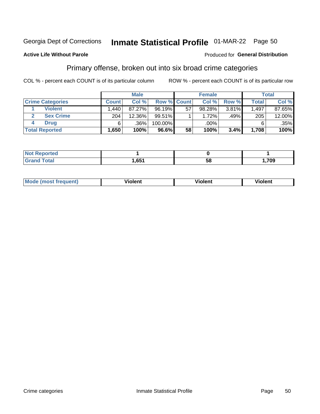#### Inmate Statistical Profile 01-MAR-22 Page 50 Georgia Dept of Corrections

### **Active Life Without Parole**

### Produced for General Distribution

### Primary offense, broken out into six broad crime categories

COL % - percent each COUNT is of its particular column

|                         | <b>Male</b>       |        |           | <b>Female</b>      |        |       | <b>Total</b> |        |
|-------------------------|-------------------|--------|-----------|--------------------|--------|-------|--------------|--------|
| <b>Crime Categories</b> | <b>Count</b>      | Col%   |           | <b>Row % Count</b> | Col %  | Row % | <b>Total</b> | Col %  |
| <b>Violent</b>          | .440 <sup>1</sup> | 87.27% | $96.19\%$ | 57                 | 98.28% | 3.81% | 1,497        | 87.65% |
| <b>Sex Crime</b>        | 204               | 12.36% | 99.51%    |                    | 1.72%  | .49%  | 205          | 12.00% |
| <b>Drug</b>             | 6                 | .36%   | 100.00%   |                    | .00%   |       | 6            | .35%   |
| <b>Total Reported</b>   | 1,650             | 100%   | 96.6%     | 58                 | 100%   | 3.4%  | 1,708        | 100%   |

| _____ | $\bullet$ | 58 | ,709 |
|-------|-----------|----|------|

| Mo<br>quenti | .<br>iolent<br>ΊΙ. | --<br>olent | .<br>'ent |
|--------------|--------------------|-------------|-----------|
|              |                    |             |           |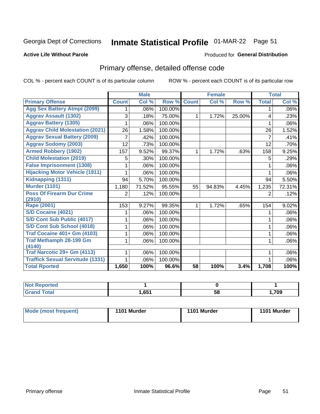## Inmate Statistical Profile 01-MAR-22 Page 51

#### **Active Life Without Parole**

### **Produced for General Distribution**

### Primary offense, detailed offense code

COL % - percent each COUNT is of its particular column

|                                         |              | <b>Male</b>                |         |              | <b>Female</b>             |        |              | <b>Total</b> |
|-----------------------------------------|--------------|----------------------------|---------|--------------|---------------------------|--------|--------------|--------------|
| <b>Primary Offense</b>                  | <b>Count</b> | $\overline{\text{Col }^9}$ | Row %   | <b>Count</b> | $\overline{\text{Col}}$ % | Row %  | <b>Total</b> | Col %        |
| <b>Agg Sex Battery Atmpt (2099)</b>     |              | .06%                       | 100.00% |              |                           |        | 1            | .06%         |
| <b>Aggrav Assault (1302)</b>            | 3            | .18%                       | 75.00%  | 1            | 1.72%                     | 25.00% | 4            | .23%         |
| <b>Aggrav Battery (1305)</b>            |              | .06%                       | 100.00% |              |                           |        |              | .06%         |
| <b>Aggrav Child Molestation (2021)</b>  | 26           | 1.58%                      | 100.00% |              |                           |        | 26           | 1.52%        |
| <b>Aggrav Sexual Battery (2009)</b>     |              | .42%                       | 100.00% |              |                           |        | 7            | .41%         |
| <b>Aggrav Sodomy (2003)</b>             | 12           | .73%                       | 100.00% |              |                           |        | 12           | .70%         |
| <b>Armed Robbery (1902)</b>             | 157          | 9.52%                      | 99.37%  | 1            | 1.72%                     | .63%   | 158          | 9.25%        |
| <b>Child Molestation (2019)</b>         | 5            | .30%                       | 100.00% |              |                           |        | 5            | .29%         |
| <b>False Imprisonment (1308)</b>        |              | .06%                       | 100.00% |              |                           |        |              | .06%         |
| <b>Hijacking Motor Vehicle (1911)</b>   |              | .06%                       | 100.00% |              |                           |        |              | .06%         |
| Kidnapping (1311)                       | 94           | 5.70%                      | 100.00% |              |                           |        | 94           | 5.50%        |
| <b>Murder (1101)</b>                    | 1,180        | 71.52%                     | 95.55%  | 55           | 94.83%                    | 4.45%  | 1,235        | 72.31%       |
| <b>Poss Of Firearm Dur Crime</b>        | 2            | .12%                       | 100.00% |              |                           |        | 2            | .12%         |
| (2910)                                  |              |                            |         |              |                           |        |              |              |
| Rape (2001)                             | 153          | 9.27%                      | 99.35%  |              | 1.72%                     | .65%   | 154          | 9.02%        |
| S/D Cocaine (4021)                      |              | .06%                       | 100.00% |              |                           |        |              | .06%         |
| S/D Cont Sub Public (4017)              |              | .06%                       | 100.00% |              |                           |        |              | .06%         |
| S/D Cont Sub School (4018)              |              | .06%                       | 100.00% |              |                           |        | 1            | .06%         |
| <b>Traf Cocaine 401+ Gm (4103)</b>      |              | .06%                       | 100.00% |              |                           |        | 1            | .06%         |
| <b>Traf Methamph 28-199 Gm</b>          |              | .06%                       | 100.00% |              |                           |        | 1            | .06%         |
| (4140)                                  |              |                            |         |              |                           |        |              |              |
| Traf Narcotic 29+ Gm (4113)             |              | .06%                       | 100.00% |              |                           |        |              | .06%         |
| <b>Traffick Sexual Servitude (1331)</b> |              | .06%                       | 100.00% |              |                           |        |              | .06%         |
| <b>Total Rported</b>                    | 1,650        | 100%                       | 96.6%   | 58           | 100%                      | 3.4%   | 1,708        | 100%         |

| <b>Not</b><br><b>orted</b> |      |    |      |
|----------------------------|------|----|------|
| <b>Total</b>               | ,651 | 58 | 709, |

| Mode (most frequent) | 1101 Murder | 1101 Murder | 1101 Murder |
|----------------------|-------------|-------------|-------------|
|----------------------|-------------|-------------|-------------|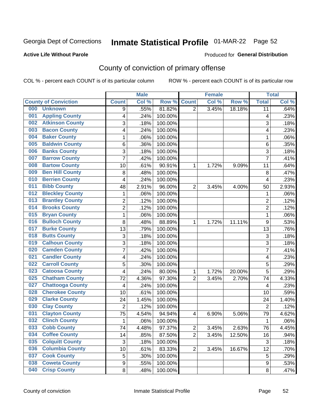## Inmate Statistical Profile 01-MAR-22 Page 52

#### **Active Life Without Parole**

### **Produced for General Distribution**

### County of conviction of primary offense

COL % - percent each COUNT is of its particular column

|                                |                  | <b>Male</b> |         |                | <b>Female</b> |        |                | <b>Total</b> |
|--------------------------------|------------------|-------------|---------|----------------|---------------|--------|----------------|--------------|
| <b>County of Conviction</b>    | <b>Count</b>     | Col %       | Row %   | <b>Count</b>   | Col %         | Row %  | <b>Total</b>   | Col %        |
| 000<br><b>Unknown</b>          | 9                | .55%        | 81.82%  | $\overline{2}$ | 3.45%         | 18.18% | 11             | .64%         |
| <b>Appling County</b><br>001   | 4                | .24%        | 100.00% |                |               |        | 4              | .23%         |
| <b>Atkinson County</b><br>002  | 3                | .18%        | 100.00% |                |               |        | 3              | .18%         |
| <b>Bacon County</b><br>003     | 4                | .24%        | 100.00% |                |               |        | 4              | .23%         |
| <b>Baker County</b><br>004     | 1                | .06%        | 100.00% |                |               |        | 1              | .06%         |
| <b>Baldwin County</b><br>005   | 6                | .36%        | 100.00% |                |               |        | 6              | .35%         |
| <b>Banks County</b><br>006     | 3                | .18%        | 100.00% |                |               |        | 3              | .18%         |
| <b>Barrow County</b><br>007    | $\overline{7}$   | .42%        | 100.00% |                |               |        | $\overline{7}$ | .41%         |
| <b>Bartow County</b><br>008    | 10               | .61%        | 90.91%  | 1              | 1.72%         | 9.09%  | 11             | .64%         |
| <b>Ben Hill County</b><br>009  | 8                | .48%        | 100.00% |                |               |        | 8              | .47%         |
| <b>Berrien County</b><br>010   | 4                | .24%        | 100.00% |                |               |        | 4              | .23%         |
| <b>Bibb County</b><br>011      | 48               | 2.91%       | 96.00%  | $\overline{2}$ | 3.45%         | 4.00%  | 50             | 2.93%        |
| <b>Bleckley County</b><br>012  | 1                | .06%        | 100.00% |                |               |        | 1              | .06%         |
| <b>Brantley County</b><br>013  | $\overline{2}$   | .12%        | 100.00% |                |               |        | $\overline{2}$ | .12%         |
| <b>Brooks County</b><br>014    | $\overline{2}$   | .12%        | 100.00% |                |               |        | $\overline{2}$ | .12%         |
| <b>Bryan County</b><br>015     | $\mathbf{1}$     | .06%        | 100.00% |                |               |        | $\mathbf{1}$   | .06%         |
| <b>Bulloch County</b><br>016   | 8                | .48%        | 88.89%  | 1              | 1.72%         | 11.11% | 9              | .53%         |
| <b>Burke County</b><br>017     | 13               | .79%        | 100.00% |                |               |        | 13             | .76%         |
| <b>Butts County</b><br>018     | 3                | .18%        | 100.00% |                |               |        | 3              | .18%         |
| <b>Calhoun County</b><br>019   | $\overline{3}$   | .18%        | 100.00% |                |               |        | $\overline{3}$ | .18%         |
| <b>Camden County</b><br>020    | 7                | .42%        | 100.00% |                |               |        | $\overline{7}$ | .41%         |
| <b>Candler County</b><br>021   | 4                | .24%        | 100.00% |                |               |        | 4              | .23%         |
| <b>Carroll County</b><br>022   | 5                | .30%        | 100.00% |                |               |        | 5              | .29%         |
| <b>Catoosa County</b><br>023   | 4                | .24%        | 80.00%  | 1              | 1.72%         | 20.00% | 5              | .29%         |
| <b>Chatham County</b><br>025   | 72               | 4.36%       | 97.30%  | $\overline{2}$ | 3.45%         | 2.70%  | 74             | 4.33%        |
| <b>Chattooga County</b><br>027 | 4                | .24%        | 100.00% |                |               |        | 4              | .23%         |
| <b>Cherokee County</b><br>028  | 10               | .61%        | 100.00% |                |               |        | 10             | .59%         |
| <b>Clarke County</b><br>029    | 24               | 1.45%       | 100.00% |                |               |        | 24             | 1.40%        |
| <b>Clay County</b><br>030      | $\overline{2}$   | .12%        | 100.00% |                |               |        | $\overline{2}$ | .12%         |
| <b>Clayton County</b><br>031   | 75               | 4.54%       | 94.94%  | 4              | 6.90%         | 5.06%  | 79             | 4.62%        |
| <b>Clinch County</b><br>032    | $\mathbf{1}$     | .06%        | 100.00% |                |               |        | 1              | .06%         |
| <b>Cobb County</b><br>033      | 74               | 4.48%       | 97.37%  | 2              | 3.45%         | 2.63%  | 76             | 4.45%        |
| <b>Coffee County</b><br>034    | 14               | .85%        | 87.50%  | $\overline{2}$ | 3.45%         | 12.50% | 16             | .94%         |
| 035<br><b>Colquitt County</b>  | $\sqrt{3}$       | .18%        | 100.00% |                |               |        | $\sqrt{3}$     | .18%         |
| <b>Columbia County</b><br>036  | 10               | .61%        | 83.33%  | $\overline{2}$ | 3.45%         | 16.67% | 12             | .70%         |
| <b>Cook County</b><br>037      | 5                | .30%        | 100.00% |                |               |        | 5              | .29%         |
| <b>Coweta County</b><br>038    | $\boldsymbol{9}$ | .55%        | 100.00% |                |               |        | 9              | .53%         |
| <b>Crisp County</b><br>040     | 8                | .48%        | 100.00% |                |               |        | 8              | .47%         |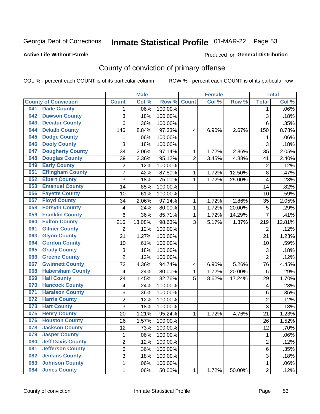## Inmate Statistical Profile 01-MAR-22 Page 53

#### **Active Life Without Parole**

#### Produced for General Distribution

### County of conviction of primary offense

COL % - percent each COUNT is of its particular column

|     |                             |                         | <b>Male</b> |         |                | <b>Female</b> |        |                | <b>Total</b> |
|-----|-----------------------------|-------------------------|-------------|---------|----------------|---------------|--------|----------------|--------------|
|     | <b>County of Conviction</b> | <b>Count</b>            | Col %       | Row %   | <b>Count</b>   | Col %         | Row %  | <b>Total</b>   | Col %        |
| 041 | <b>Dade County</b>          | 1                       | .06%        | 100.00% |                |               |        | 1              | .06%         |
| 042 | <b>Dawson County</b>        | 3                       | .18%        | 100.00% |                |               |        | 3              | .18%         |
| 043 | <b>Decatur County</b>       | 6                       | .36%        | 100.00% |                |               |        | 6              | .35%         |
| 044 | <b>Dekalb County</b>        | 146                     | 8.84%       | 97.33%  | 4              | 6.90%         | 2.67%  | 150            | 8.78%        |
| 045 | <b>Dodge County</b>         | 1                       | .06%        | 100.00% |                |               |        | 1              | .06%         |
| 046 | <b>Dooly County</b>         | 3                       | .18%        | 100.00% |                |               |        | $\overline{3}$ | .18%         |
| 047 | <b>Dougherty County</b>     | 34                      | 2.06%       | 97.14%  | 1              | 1.72%         | 2.86%  | 35             | 2.05%        |
| 048 | <b>Douglas County</b>       | 39                      | 2.36%       | 95.12%  | $\overline{2}$ | 3.45%         | 4.88%  | 41             | 2.40%        |
| 049 | <b>Early County</b>         | $\overline{c}$          | .12%        | 100.00% |                |               |        | $\overline{2}$ | .12%         |
| 051 | <b>Effingham County</b>     | 7                       | .42%        | 87.50%  | 1              | 1.72%         | 12.50% | 8              | .47%         |
| 052 | <b>Elbert County</b>        | 3                       | .18%        | 75.00%  | 1              | 1.72%         | 25.00% | 4              | .23%         |
| 053 | <b>Emanuel County</b>       | 14                      | .85%        | 100.00% |                |               |        | 14             | .82%         |
| 056 | <b>Fayette County</b>       | 10                      | .61%        | 100.00% |                |               |        | 10             | .59%         |
| 057 | <b>Floyd County</b>         | 34                      | 2.06%       | 97.14%  | 1              | 1.72%         | 2.86%  | 35             | 2.05%        |
| 058 | <b>Forsyth County</b>       | 4                       | .24%        | 80.00%  | 1              | 1.72%         | 20.00% | 5              | .29%         |
| 059 | <b>Franklin County</b>      | 6                       | .36%        | 85.71%  | 1              | 1.72%         | 14.29% | 7              | .41%         |
| 060 | <b>Fulton County</b>        | 216                     | 13.08%      | 98.63%  | 3              | 5.17%         | 1.37%  | 219            | 12.81%       |
| 061 | <b>Gilmer County</b>        | $\overline{2}$          | .12%        | 100.00% |                |               |        | $\overline{2}$ | .12%         |
| 063 | <b>Glynn County</b>         | 21                      | 1.27%       | 100.00% |                |               |        | 21             | 1.23%        |
| 064 | <b>Gordon County</b>        | 10                      | .61%        | 100.00% |                |               |        | 10             | .59%         |
| 065 | <b>Grady County</b>         | 3                       | .18%        | 100.00% |                |               |        | 3              | .18%         |
| 066 | <b>Greene County</b>        | $\overline{2}$          | .12%        | 100.00% |                |               |        | $\overline{2}$ | .12%         |
| 067 | <b>Gwinnett County</b>      | 72                      | 4.36%       | 94.74%  | 4              | 6.90%         | 5.26%  | 76             | 4.45%        |
| 068 | <b>Habersham County</b>     | $\overline{\mathbf{4}}$ | .24%        | 80.00%  | 1              | 1.72%         | 20.00% | 5              | .29%         |
| 069 | <b>Hall County</b>          | 24                      | 1.45%       | 82.76%  | 5              | 8.62%         | 17.24% | 29             | 1.70%        |
| 070 | <b>Hancock County</b>       | 4                       | .24%        | 100.00% |                |               |        | 4              | .23%         |
| 071 | <b>Haralson County</b>      | 6                       | .36%        | 100.00% |                |               |        | 6              | .35%         |
| 072 | <b>Harris County</b>        | $\overline{2}$          | .12%        | 100.00% |                |               |        | $\overline{c}$ | .12%         |
| 073 | <b>Hart County</b>          | 3                       | .18%        | 100.00% |                |               |        | 3              | .18%         |
| 075 | <b>Henry County</b>         | 20                      | 1.21%       | 95.24%  | 1              | 1.72%         | 4.76%  | 21             | 1.23%        |
| 076 | <b>Houston County</b>       | 26                      | 1.57%       | 100.00% |                |               |        | 26             | 1.52%        |
| 078 | <b>Jackson County</b>       | 12                      | .73%        | 100.00% |                |               |        | 12             | .70%         |
| 079 | <b>Jasper County</b>        | $\mathbf{1}$            | .06%        | 100.00% |                |               |        | $\mathbf{1}$   | .06%         |
| 080 | <b>Jeff Davis County</b>    | $\overline{2}$          | .12%        | 100.00% |                |               |        | $\overline{2}$ | .12%         |
| 081 | <b>Jefferson County</b>     | 6                       | .36%        | 100.00% |                |               |        | 6              | .35%         |
| 082 | <b>Jenkins County</b>       | 3                       | .18%        | 100.00% |                |               |        | 3              | .18%         |
| 083 | <b>Johnson County</b>       | $\mathbf 1$             | .06%        | 100.00% |                |               |        | $\mathbf 1$    | .06%         |
| 084 | <b>Jones County</b>         | $\mathbf 1$             | .06%        | 50.00%  | 1              | 1.72%         | 50.00% | $\overline{2}$ | .12%         |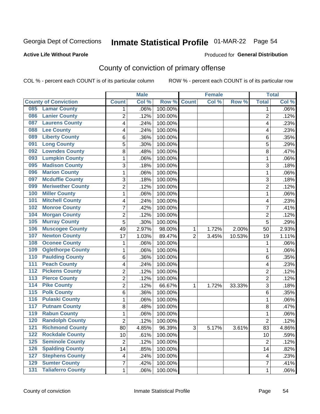## Inmate Statistical Profile 01-MAR-22 Page 54

#### **Active Life Without Parole**

#### Produced for General Distribution

### County of conviction of primary offense

COL % - percent each COUNT is of its particular column

|                                              |                | <b>Male</b> |         |                | <b>Female</b> |          |                | <b>Total</b> |
|----------------------------------------------|----------------|-------------|---------|----------------|---------------|----------|----------------|--------------|
| <b>County of Conviction</b>                  | <b>Count</b>   | Col %       | Row %   | <b>Count</b>   | Col %         | Row %    | <b>Total</b>   | Col %        |
| <b>Lamar County</b><br>085                   | 1              | .06%        | 100.00% |                |               |          | 1              | $.06\%$      |
| <b>Lanier County</b><br>086                  | $\overline{2}$ | .12%        | 100.00% |                |               |          | $\overline{2}$ | .12%         |
| <b>Laurens County</b><br>087                 | 4              | .24%        | 100.00% |                |               |          | 4              | .23%         |
| <b>Lee County</b><br>088                     | 4              | .24%        | 100.00% |                |               |          | 4              | .23%         |
| <b>Liberty County</b><br>089                 | 6              | .36%        | 100.00% |                |               |          | 6              | .35%         |
| <b>Long County</b><br>091                    | 5              | .30%        | 100.00% |                |               |          | 5              | .29%         |
| <b>Lowndes County</b><br>092                 | 8              | .48%        | 100.00% |                |               |          | 8              | .47%         |
| <b>Lumpkin County</b><br>093                 | 1              | .06%        | 100.00% |                |               |          | $\mathbf{1}$   | .06%         |
| <b>Madison County</b><br>095                 | 3              | .18%        | 100.00% |                |               |          | 3              | .18%         |
| <b>Marion County</b><br>096                  | 1              | .06%        | 100.00% |                |               |          | $\mathbf{1}$   | .06%         |
| <b>Mcduffie County</b><br>097                | 3              | .18%        | 100.00% |                |               |          | 3              | .18%         |
| <b>Meriwether County</b><br>099              | $\overline{2}$ | .12%        | 100.00% |                |               |          | $\overline{2}$ | .12%         |
| <b>Miller County</b><br>100                  | 1              | .06%        | 100.00% |                |               |          | $\mathbf{1}$   | .06%         |
| <b>Mitchell County</b><br>101                | 4              | .24%        | 100.00% |                |               |          | 4              | .23%         |
| <b>Monroe County</b><br>102                  | 7              | .42%        | 100.00% |                |               |          | $\overline{7}$ | .41%         |
| <b>Morgan County</b><br>104                  | $\overline{2}$ | .12%        | 100.00% |                |               |          | $\overline{2}$ | .12%         |
| <b>Murray County</b><br>105                  | 5              | .30%        | 100.00% |                |               |          | 5              | .29%         |
| <b>Muscogee County</b><br>106                | 49             | 2.97%       | 98.00%  | 1              | 1.72%         | 2.00%    | 50             | 2.93%        |
| <b>Newton County</b><br>107                  | 17             | 1.03%       | 89.47%  | $\overline{2}$ | 3.45%         | 10.53%   | 19             | 1.11%        |
| <b>Oconee County</b><br>108                  | 1              | .06%        | 100.00% |                |               |          | 1              | .06%         |
| <b>Oglethorpe County</b><br>109              | 1              | .06%        | 100.00% |                |               |          | 1              | .06%         |
| <b>Paulding County</b><br>110                | 6              | .36%        | 100.00% |                |               |          | 6              | .35%         |
| <b>Peach County</b><br>111                   | 4              | .24%        | 100.00% |                |               |          | 4              | .23%         |
| <b>Pickens County</b><br>$\overline{112}$    | $\overline{2}$ | .12%        | 100.00% |                |               |          | $\overline{2}$ | .12%         |
| <b>Pierce County</b><br>113                  | 2              | .12%        | 100.00% |                |               |          | $\overline{2}$ | .12%         |
| <b>Pike County</b><br>$\overline{114}$       | $\overline{2}$ | .12%        | 66.67%  | 1              | 1.72%         | 33.33%   | 3              | .18%         |
| <b>Polk County</b><br>$\overline{115}$       | 6              | .36%        | 100.00% |                |               |          | 6              | .35%         |
| <b>Pulaski County</b><br>116                 | 1              | .06%        | 100.00% |                |               |          | $\mathbf{1}$   | .06%         |
| <b>Putnam County</b><br>117                  | 8              | .48%        | 100.00% |                |               |          | 8              | .47%         |
| <b>Rabun County</b><br>119                   | 1              | .06%        | 100.00% |                |               |          | $\mathbf{1}$   | .06%         |
| <b>Randolph County</b><br>120                | $\overline{2}$ | .12%        | 100.00% |                |               |          | $\overline{2}$ | .12%         |
| <b>Richmond County</b><br>121                | 80             | 4.85%       | 96.39%  | 3              | 5.17%         | $3.61\%$ | 83             | 4.86%        |
| <b>Rockdale County</b><br>122                | 10             | .61%        | 100.00% |                |               |          | 10             | .59%         |
| <b>Seminole County</b><br>$125$              | $\overline{2}$ | .12%        | 100.00% |                |               |          | $\overline{2}$ | .12%         |
| <b>Spalding County</b><br>126                | 14             | .85%        | 100.00% |                |               |          | 14             | .82%         |
| <b>Stephens County</b><br>127                | $\overline{4}$ | .24%        | 100.00% |                |               |          | 4              | .23%         |
| <b>Sumter County</b><br>129                  | 7              | .42%        | 100.00% |                |               |          | $\overline{7}$ | .41%         |
| <b>Taliaferro County</b><br>$\overline{131}$ | $\mathbf{1}$   | .06%        | 100.00% |                |               |          | $\mathbf 1$    | .06%         |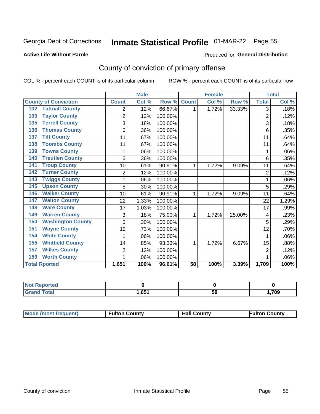## Inmate Statistical Profile 01-MAR-22 Page 55

#### **Active Life Without Parole**

#### Produced for General Distribution

### County of conviction of primary offense

COL % - percent each COUNT is of its particular column

|                                 |                | <b>Male</b> |         |                 | <b>Female</b> |        |                | <b>Total</b> |
|---------------------------------|----------------|-------------|---------|-----------------|---------------|--------|----------------|--------------|
| <b>County of Conviction</b>     | <b>Count</b>   | Col %       | Row %   | <b>Count</b>    | Col %         | Row %  | <b>Total</b>   | Col %        |
| <b>Tattnall County</b><br>132   | 2              | .12%        | 66.67%  | 1               | 1.72%         | 33.33% | 3              | .18%         |
| <b>Taylor County</b><br>133     | $\overline{2}$ | .12%        | 100.00% |                 |               |        | $\overline{2}$ | .12%         |
| <b>Terrell County</b><br>135    | 3              | .18%        | 100.00% |                 |               |        | 3              | .18%         |
| <b>Thomas County</b><br>136     | 6              | .36%        | 100.00% |                 |               |        | 6              | .35%         |
| <b>Tift County</b><br>137       | 11             | .67%        | 100.00% |                 |               |        | 11             | .64%         |
| <b>Toombs County</b><br>138     | 11             | .67%        | 100.00% |                 |               |        | 11             | .64%         |
| <b>Towns County</b><br>139      |                | .06%        | 100.00% |                 |               |        | 1              | .06%         |
| <b>Treutlen County</b><br>140   | 6              | .36%        | 100.00% |                 |               |        | 6              | .35%         |
| <b>Troup County</b><br>141      | 10             | .61%        | 90.91%  | 1               | 1.72%         | 9.09%  | 11             | .64%         |
| <b>Turner County</b><br>142     | 2              | .12%        | 100.00% |                 |               |        | $\overline{2}$ | .12%         |
| <b>Twiggs County</b><br>143     |                | .06%        | 100.00% |                 |               |        | 1              | .06%         |
| <b>Upson County</b><br>145      | 5              | .30%        | 100.00% |                 |               |        | 5              | .29%         |
| <b>Walker County</b><br>146     | 10             | .61%        | 90.91%  | 1               | 1.72%         | 9.09%  | 11             | .64%         |
| <b>Walton County</b><br>147     | 22             | 1.33%       | 100.00% |                 |               |        | 22             | 1.29%        |
| <b>Ware County</b><br>148       | 17             | 1.03%       | 100.00% |                 |               |        | 17             | .99%         |
| <b>Warren County</b><br>149     | 3              | .18%        | 75.00%  | 1               | 1.72%         | 25.00% | 4              | .23%         |
| <b>Washington County</b><br>150 | 5              | .30%        | 100.00% |                 |               |        | 5              | .29%         |
| <b>Wayne County</b><br>151      | 12             | .73%        | 100.00% |                 |               |        | 12             | .70%         |
| <b>White County</b><br>154      | 1              | .06%        | 100.00% |                 |               |        | 1              | .06%         |
| <b>Whitfield County</b><br>155  | 14             | .85%        | 93.33%  | 1               | 1.72%         | 6.67%  | 15             | .88%         |
| <b>Wilkes County</b><br>157     | $\overline{2}$ | .12%        | 100.00% |                 |               |        | $\overline{2}$ | .12%         |
| <b>Worth County</b><br>159      | 1              | .06%        | 100.00% |                 |               |        | 1              | .06%         |
| <b>Total Rported</b>            | 1,651          | 100%        | 96.61%  | $\overline{58}$ | 100%          | 3.39%  | 1,709          | 100%         |

| <b>Not Reported</b> |      |    |      |
|---------------------|------|----|------|
| <b>Total</b>        | .651 | ວບ | ,709 |

| <b>Mode (most frequent)</b> | <b>Fulton County</b> | <b>Hall County</b> | Fulton Countv |
|-----------------------------|----------------------|--------------------|---------------|
|-----------------------------|----------------------|--------------------|---------------|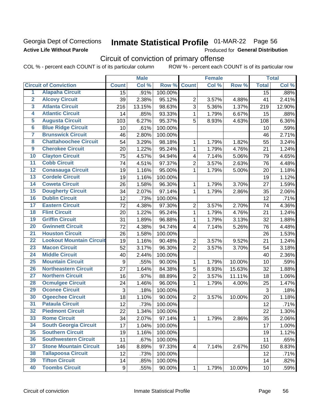### Georgia Dept of Corrections **Active Life Without Parole**

## Inmate Statistical Profile 01-MAR-22 Page 56

Produced for General Distribution

## Circuit of conviction of primary offense

|                         |                                 |                  | <b>Male</b> |         |                         | <b>Female</b> |        |                 | <b>Total</b> |
|-------------------------|---------------------------------|------------------|-------------|---------|-------------------------|---------------|--------|-----------------|--------------|
|                         | <b>Circuit of Conviction</b>    | <b>Count</b>     | Col %       | Row %   | <b>Count</b>            | Col %         | Row %  | <b>Total</b>    | Col%         |
| 1                       | <b>Alapaha Circuit</b>          | 15               | .91%        | 100.00% |                         |               |        | 15              | .88%         |
| $\overline{2}$          | <b>Alcovy Circuit</b>           | 39               | 2.38%       | 95.12%  | $\overline{2}$          | 3.57%         | 4.88%  | 41              | 2.41%        |
| $\overline{\mathbf{3}}$ | <b>Atlanta Circuit</b>          | 216              | 13.15%      | 98.63%  | $\overline{3}$          | 5.36%         | 1.37%  | 219             | 12.90%       |
| 4                       | <b>Atlantic Circuit</b>         | 14               | .85%        | 93.33%  | 1                       | 1.79%         | 6.67%  | 15              | .88%         |
| 5                       | <b>Augusta Circuit</b>          | 103              | 6.27%       | 95.37%  | 5                       | 8.93%         | 4.63%  | 108             | 6.36%        |
| $\overline{6}$          | <b>Blue Ridge Circuit</b>       | 10               | .61%        | 100.00% |                         |               |        | 10              | .59%         |
| 7                       | <b>Brunswick Circuit</b>        | 46               | 2.80%       | 100.00% |                         |               |        | 46              | 2.71%        |
| 8                       | <b>Chattahoochee Circuit</b>    | 54               | 3.29%       | 98.18%  | 1                       | 1.79%         | 1.82%  | 55              | 3.24%        |
| $\overline{9}$          | <b>Cherokee Circuit</b>         | 20               | 1.22%       | 95.24%  | $\mathbf{1}$            | 1.79%         | 4.76%  | 21              | 1.24%        |
| 10                      | <b>Clayton Circuit</b>          | 75               | 4.57%       | 94.94%  | $\overline{\mathbf{4}}$ | 7.14%         | 5.06%  | 79              | 4.65%        |
| $\overline{11}$         | <b>Cobb Circuit</b>             | 74               | 4.51%       | 97.37%  | $\overline{2}$          | 3.57%         | 2.63%  | 76              | 4.48%        |
| $\overline{12}$         | <b>Conasauga Circuit</b>        | 19               | 1.16%       | 95.00%  | 1                       | 1.79%         | 5.00%  | 20              | 1.18%        |
| $\overline{13}$         | <b>Cordele Circuit</b>          | 19               | 1.16%       | 100.00% |                         |               |        | 19              | 1.12%        |
| $\overline{14}$         | <b>Coweta Circuit</b>           | 26               | 1.58%       | 96.30%  | 1                       | 1.79%         | 3.70%  | 27              | 1.59%        |
| $\overline{15}$         | <b>Dougherty Circuit</b>        | 34               | 2.07%       | 97.14%  | $\mathbf{1}$            | 1.79%         | 2.86%  | 35              | 2.06%        |
| 16                      | <b>Dublin Circuit</b>           | 12               | .73%        | 100.00% |                         |               |        | 12              | .71%         |
| $\overline{17}$         | <b>Eastern Circuit</b>          | 72               | 4.38%       | 97.30%  | $\overline{2}$          | 3.57%         | 2.70%  | 74              | 4.36%        |
| 18                      | <b>Flint Circuit</b>            | 20               | 1.22%       | 95.24%  | 1                       | 1.79%         | 4.76%  | 21              | 1.24%        |
| 19                      | <b>Griffin Circuit</b>          | 31               | 1.89%       | 96.88%  | $\mathbf{1}$            | 1.79%         | 3.13%  | 32              | 1.88%        |
| $\overline{20}$         | <b>Gwinnett Circuit</b>         | 72               | 4.38%       | 94.74%  | 4                       | 7.14%         | 5.26%  | 76              | 4.48%        |
| $\overline{21}$         | <b>Houston Circuit</b>          | 26               | 1.58%       | 100.00% |                         |               |        | 26              | 1.53%        |
| $\overline{22}$         | <b>Lookout Mountain Circuit</b> | 19               | 1.16%       | 90.48%  | $\overline{2}$          | 3.57%         | 9.52%  | 21              | 1.24%        |
| 23                      | <b>Macon Circuit</b>            | 52               | 3.17%       | 96.30%  | $\overline{2}$          | 3.57%         | 3.70%  | 54              | 3.18%        |
| $\overline{24}$         | <b>Middle Circuit</b>           | 40               | 2.44%       | 100.00% |                         |               |        | 40              | 2.36%        |
| $\overline{25}$         | <b>Mountain Circuit</b>         | $\boldsymbol{9}$ | .55%        | 90.00%  | 1                       | 1.79%         | 10.00% | 10              | .59%         |
| 26                      | <b>Northeastern Circuit</b>     | 27               | 1.64%       | 84.38%  | 5                       | 8.93%         | 15.63% | 32              | 1.88%        |
| $\overline{27}$         | <b>Northern Circuit</b>         | 16               | .97%        | 88.89%  | $\overline{2}$          | 3.57%         | 11.11% | 18              | 1.06%        |
| 28                      | <b>Ocmulgee Circuit</b>         | 24               | 1.46%       | 96.00%  | 1                       | 1.79%         | 4.00%  | 25              | 1.47%        |
| 29                      | <b>Oconee Circuit</b>           | 3                | .18%        | 100.00% |                         |               |        | 3               | .18%         |
| 30                      | <b>Ogeechee Circuit</b>         | 18               | 1.10%       | 90.00%  | $\overline{2}$          | 3.57%         | 10.00% | 20              | 1.18%        |
| $\overline{31}$         | <b>Pataula Circuit</b>          | 12               | .73%        | 100.00% |                         |               |        | 12              | .71%         |
| 32                      | <b>Piedmont Circuit</b>         | 22               | 1.34%       | 100.00% |                         |               |        | 22              | 1.30%        |
| 33                      | <b>Rome Circuit</b>             | 34               | 2.07%       | 97.14%  | $\mathbf{1}$            | 1.79%         | 2.86%  | 35              | 2.06%        |
| 34                      | <b>South Georgia Circuit</b>    | 17               | 1.04%       | 100.00% |                         |               |        | 17              | 1.00%        |
| 35                      | <b>Southern Circuit</b>         | 19               | 1.16%       | 100.00% |                         |               |        | 19              | 1.12%        |
| 36                      | <b>Southwestern Circuit</b>     | 11               | .67%        | 100.00% |                         |               |        | 11              | .65%         |
| 37                      | <b>Stone Mountain Circuit</b>   | 146              | 8.89%       | 97.33%  | 4                       | 7.14%         | 2.67%  | 150             | 8.83%        |
| 38                      | <b>Tallapoosa Circuit</b>       | 12               | .73%        | 100.00% |                         |               |        | 12              | .71%         |
| 39                      | <b>Tifton Circuit</b>           | 14               | .85%        | 100.00% |                         |               |        | 14              | .82%         |
| 40                      | <b>Toombs Circuit</b>           | 9                | .55%        | 90.00%  | $\mathbf{1}$            | 1.79%         | 10.00% | 10 <sub>1</sub> | .59%         |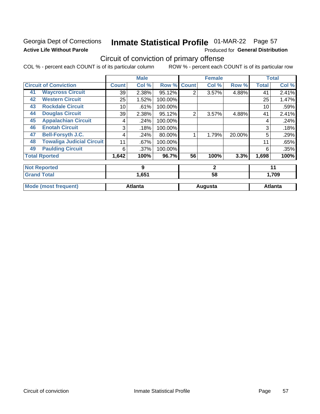### Georgia Dept of Corrections **Active Life Without Parole**

## Inmate Statistical Profile 01-MAR-22 Page 57

Produced for General Distribution

### Circuit of conviction of primary offense

|    |                                  |              | <b>Male</b>    |         |                | <b>Female</b> |        |              | <b>Total</b>   |
|----|----------------------------------|--------------|----------------|---------|----------------|---------------|--------|--------------|----------------|
|    | <b>Circuit of Conviction</b>     | <b>Count</b> | Col %          | Row %   | <b>Count</b>   | Col %         | Row %  | <b>Total</b> | Col %          |
| 41 | <b>Waycross Circuit</b>          | 39           | 2.38%          | 95.12%  | 2              | 3.57%         | 4.88%  | 41           | 2.41%          |
| 42 | <b>Western Circuit</b>           | 25           | 1.52%          | 100.00% |                |               |        | 25           | 1.47%          |
| 43 | <b>Rockdale Circuit</b>          | 10           | .61%           | 100.00% |                |               |        | 10           | .59%           |
| 44 | <b>Douglas Circuit</b>           | 39           | 2.38%          | 95.12%  | $\overline{2}$ | 3.57%         | 4.88%  | 41           | 2.41%          |
| 45 | <b>Appalachian Circuit</b>       | 4            | .24%           | 100.00% |                |               |        | 4            | .24%           |
| 46 | <b>Enotah Circuit</b>            | 3            | .18%           | 100.00% |                |               |        | 3            | .18%           |
| 47 | <b>Bell-Forsyth J.C.</b>         | 4            | .24%           | 80.00%  |                | 1.79%         | 20.00% | 5            | .29%           |
| 48 | <b>Towaliga Judicial Circuit</b> | 11           | .67%           | 100.00% |                |               |        | 11           | .65%           |
| 49 | <b>Paulding Circuit</b>          | 6            | $.37\%$        | 100.00% |                |               |        | 6            | .35%           |
|    | <b>Total Rported</b>             | 1,642        | 100%           | 96.7%   | 56             | 100%          | 3.3%   | 1,698        | 100%           |
|    | <b>Not Reported</b>              |              | 9              |         |                | $\mathbf{2}$  |        |              | 11             |
|    | <b>Grand Total</b>               |              | 1,651          |         |                | 58            |        |              | 1,709          |
|    | <b>Mode (most frequent)</b>      |              | <b>Atlanta</b> |         |                | Augusta       |        |              | <b>Atlanta</b> |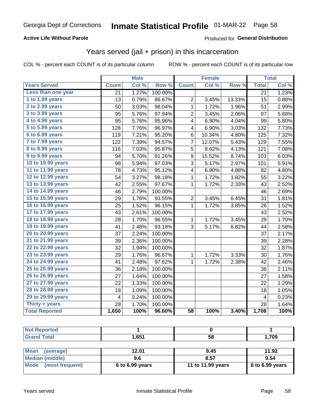### **Active Life Without Parole**

### Produced for General Distribution

### Years served (jail + prison) in this incarceration

COL % - percent each COUNT is of its particular column

|                        |              | <b>Male</b> |         |                 | <b>Female</b> |        |                 | <b>Total</b> |
|------------------------|--------------|-------------|---------|-----------------|---------------|--------|-----------------|--------------|
| <b>Years Served</b>    | <b>Count</b> | Col %       | Row %   | <b>Count</b>    | Col %         | Row %  | <b>Total</b>    | Col %        |
| Less than one year     | 21           | 1.27%       | 100.00% |                 |               |        | $\overline{21}$ | 1.23%        |
| 1 to 1.99 years        | 13           | 0.79%       | 86.67%  | $\overline{2}$  | 3.45%         | 13.33% | 15              | 0.88%        |
| 2 to 2.99 years        | 50           | 3.03%       | 98.04%  | 1               | 1.72%         | 1.96%  | 51              | 2.99%        |
| 3 to 3.99 years        | 95           | 5.76%       | 97.94%  | 2               | 3.45%         | 2.06%  | 97              | 5.68%        |
| 4 to 4.99 years        | 95           | 5.76%       | 95.96%  | 4               | 6.90%         | 4.04%  | 99              | 5.80%        |
| 5 to 5.99 years        | 128          | 7.76%       | 96.97%  | 4               | 6.90%         | 3.03%  | 132             | 7.73%        |
| 6 to 6.99 years        | 119          | 7.21%       | 95.20%  | 6               | 10.34%        | 4.80%  | 125             | 7.32%        |
| 7 to 7.99 years        | 122          | 7.39%       | 94.57%  | 7               | 12.07%        | 5.43%  | 129             | 7.55%        |
| <b>8 to 8.99 years</b> | 116          | 7.03%       | 95.87%  | 5               | 8.62%         | 4.13%  | 121             | 7.08%        |
| 9 to 9.99 years        | 94           | 5.70%       | 91.26%  | 9               | 15.52%        | 8.74%  | 103             | 6.03%        |
| 10 to 10.99 years      | 98           | 5.94%       | 97.03%  | $\overline{3}$  | 5.17%         | 2.97%  | 101             | 5.91%        |
| 11 to 11.99 years      | 78           | 4.73%       | 95.12%  | 4               | 6.90%         | 4.88%  | 82              | 4.80%        |
| 12 to 12.99 years      | 54           | 3.27%       | 98.18%  | 1               | 1.72%         | 1.82%  | 55              | 3.22%        |
| 13 to 13.99 years      | 42           | 2.55%       | 97.67%  | $\mathbf 1$     | 1.72%         | 2.33%  | 43              | 2.52%        |
| 14 to 14.99 years      | 46           | 2.79%       | 100.00% |                 |               |        | 46              | 2.69%        |
| 15 to 15.99 years      | 29           | 1.76%       | 93.55%  | $\overline{2}$  | 3.45%         | 6.45%  | 31              | 1.81%        |
| 16 to 16.99 years      | 25           | 1.52%       | 96.15%  | $\mathbf 1$     | 1.72%         | 3.85%  | 26              | 1.52%        |
| 17 to 17.99 years      | 43           | 2.61%       | 100.00% |                 |               |        | 43              | 2.52%        |
| 18 to 18.99 years      | 28           | 1.70%       | 96.55%  | 1               | 1.72%         | 3.45%  | 29              | 1.70%        |
| 19 to 19.99 years      | 41           | 2.48%       | 93.18%  | 3               | 5.17%         | 6.82%  | 44              | 2.58%        |
| 20 to 20.99 years      | 37           | 2.24%       | 100.00% |                 |               |        | 37              | 2.17%        |
| 21 to 21.99 years      | 39           | 2.36%       | 100.00% |                 |               |        | 39              | 2.28%        |
| 22 to 22.99 years      | 32           | 1.94%       | 100.00% |                 |               |        | 32              | 1.87%        |
| 23 to 23.99 years      | 29           | 1.76%       | 96.67%  | 1               | 1.72%         | 3.33%  | 30              | 1.76%        |
| 24 to 24.99 years      | 41           | 2.48%       | 97.62%  | $\mathbf{1}$    | 1.72%         | 2.38%  | 42              | 2.46%        |
| 25 to 25.99 years      | 36           | 2.18%       | 100.00% |                 |               |        | 36              | 2.11%        |
| 26 to 26.99 years      | 27           | 1.64%       | 100.00% |                 |               |        | 27              | 1.58%        |
| 27 to 27.99 years      | 22           | 1.33%       | 100.00% |                 |               |        | 22              | 1.29%        |
| 28 to 28.99 years      | 18           | 1.09%       | 100.00% |                 |               |        | 18              | 1.05%        |
| 29 to 29.99 years      | 4            | 0.24%       | 100.00% |                 |               |        | 4               | 0.23%        |
| Thirty + years         | 28           | 1.70%       | 100.00% |                 |               |        | 28              | 1.64%        |
| <b>Total Reported</b>  | 1,650        | 100%        | 96.60%  | $\overline{58}$ | 100%          | 3.40%  | 1,708           | 100%         |

| <b>Not Reported</b>      |                 |                   |                 |
|--------------------------|-----------------|-------------------|-----------------|
| <b>Grand Total</b>       | 1.651           | 58                | 1,709           |
|                          |                 |                   |                 |
| <b>Mean</b><br>(average) | 12.01           | 9.45              | 11.92           |
| <b>Median (middle)</b>   | 9.6             | 8.57              | 9.54            |
| Mode (most frequent)     | 6 to 6.99 years | 11 to 11.99 years | 6 to 6.99 years |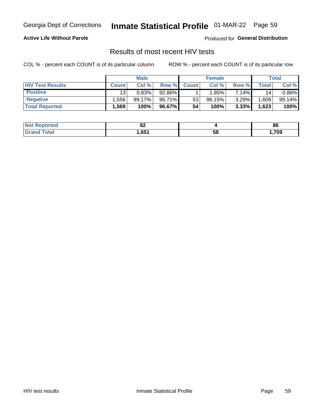## Inmate Statistical Profile 01-MAR-22 Page 59

### **Active Life Without Parole**

Produced for General Distribution

### Results of most recent HIV tests

COL % - percent each COUNT is of its particular column

|                         | <b>Male</b>     |        |        | <b>Female</b> |        |          | Total |        |
|-------------------------|-----------------|--------|--------|---------------|--------|----------|-------|--------|
| <b>HIV Test Results</b> | <b>Count</b>    | Col %  | Row %I | <b>Count</b>  | Col %  | Row %    | Total | Col %  |
| <b>Positive</b>         | 13 <sub>1</sub> | 0.83%  | 92.86% |               | 1.85%  | 7.14%    | 14    | 0.86%  |
| <b>Negative</b>         | .556            | 99.17% | 96.71% | 53            | 98.15% | $3.29\%$ | .609  | 99.14% |
| <b>Total Reported</b>   | .569            | 100%   | 96.67% | 54            | 100%   | 3.33%    | 1,623 | 100%   |

| <b>Not Reported</b> | UΖ   |    | 86  |
|---------------------|------|----|-----|
| <b>Total</b>        | .651 | Эō | 709 |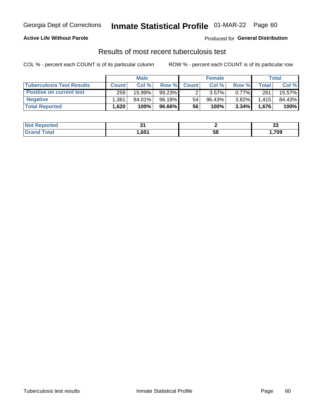### Georgia Dept of Corrections **Inmate Statistical Profile** 01-MAR-22 Page 60

### **Active Life Without Parole**

Produced for **General Distribution**

### Results of most recent tuberculosis test

|                                  | <b>Male</b>  |        |        | <b>Female</b> |           |          | Total        |        |
|----------------------------------|--------------|--------|--------|---------------|-----------|----------|--------------|--------|
| <b>Tuberculosis Test Results</b> | <b>Count</b> | Col %  | Row %I | <b>Count</b>  | Col %     | Row %    | <b>Total</b> | Col %  |
| <b>Positive on current test</b>  | 259          | 15.99% | 99.23% |               | 3.57%     | $0.77\%$ | 261          | 15.57% |
| <b>Negative</b>                  | .361         | 84.01% | 96.18% | 54            | $96.43\%$ | $3.82\%$ | 1,415        | 84.43% |
| <b>Total Reported</b>            | .620         | 100%   | 96.66% | 56            | 100%      | 3.34%    | 1,676        | 100%   |

| <b>Not Reported</b>          |      |    | v     |
|------------------------------|------|----|-------|
| <b>Total</b><br><b>Group</b> | .651 | Эō | 1,709 |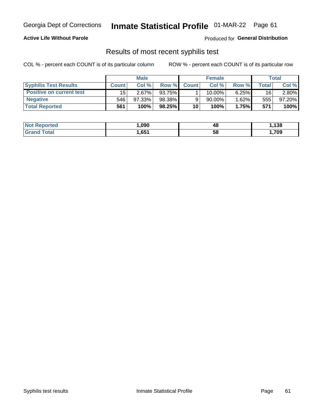## Georgia Dept of Corrections **Inmate Statistical Profile** 01-MAR-22 Page 61

### **Active Life Without Parole**

Produced for **General Distribution**

### Results of most recent syphilis test

|                                 | <b>Male</b>  |          |        | <b>Female</b> |        |          | Total |        |
|---------------------------------|--------------|----------|--------|---------------|--------|----------|-------|--------|
| <b>Syphilis Test Results</b>    | <b>Count</b> | Col%     | Row %  | <b>Count</b>  | Col %  | Row %I   | Total | Col %  |
| <b>Positive on current test</b> | 15           | $2.67\%$ | 93.75% |               | 10.00% | $6.25\%$ | 16    | 2.80%  |
| <b>Negative</b>                 | 546          | 97.33%   | 98.38% |               | 90.00% | 1.62%    | 555   | 97.20% |
| <b>Total Reported</b>           | 561          | 100%     | 98.25% | 10            | 100%   | 1.75%    | 571   | 100%   |

| <b>Not Reported</b> | 090, ا | 48 | ,138 |
|---------------------|--------|----|------|
| <b>Grand Total</b>  | ,651   | 58 | ,709 |